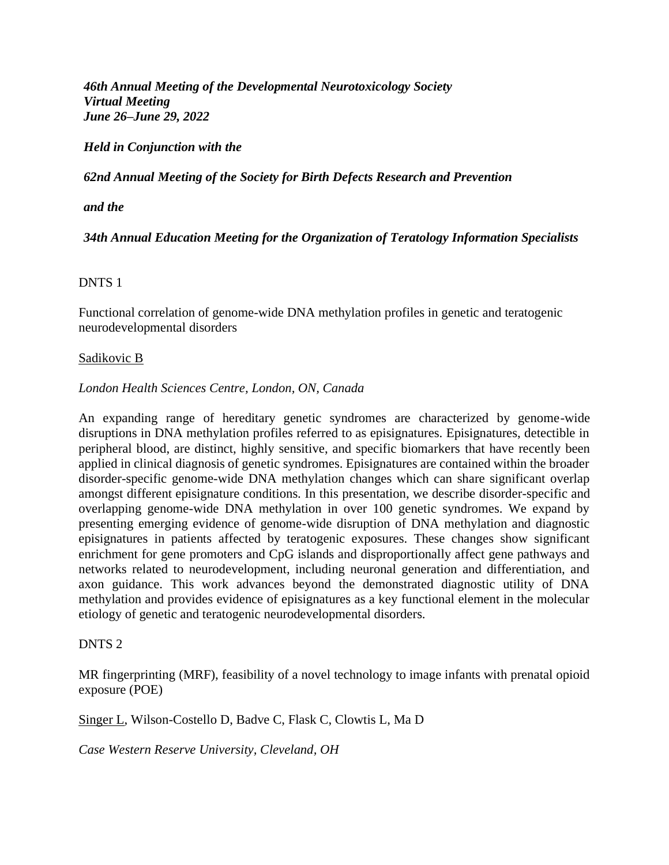*46th Annual Meeting of the Developmental Neurotoxicology Society Virtual Meeting June 26–June 29, 2022*

*Held in Conjunction with the*

*62nd Annual Meeting of the Society for Birth Defects Research and Prevention*

*and the*

*34th Annual Education Meeting for the Organization of Teratology Information Specialists*

### DNTS 1

Functional correlation of genome-wide DNA methylation profiles in genetic and teratogenic neurodevelopmental disorders

### Sadikovic B

### *London Health Sciences Centre, London, ON, Canada*

An expanding range of hereditary genetic syndromes are characterized by genome-wide disruptions in DNA methylation profiles referred to as episignatures. Episignatures, detectible in peripheral blood, are distinct, highly sensitive, and specific biomarkers that have recently been applied in clinical diagnosis of genetic syndromes. Episignatures are contained within the broader disorder-specific genome-wide DNA methylation changes which can share significant overlap amongst different episignature conditions. In this presentation, we describe disorder-specific and overlapping genome-wide DNA methylation in over 100 genetic syndromes. We expand by presenting emerging evidence of genome-wide disruption of DNA methylation and diagnostic episignatures in patients affected by teratogenic exposures. These changes show significant enrichment for gene promoters and CpG islands and disproportionally affect gene pathways and networks related to neurodevelopment, including neuronal generation and differentiation, and axon guidance. This work advances beyond the demonstrated diagnostic utility of DNA methylation and provides evidence of episignatures as a key functional element in the molecular etiology of genetic and teratogenic neurodevelopmental disorders.

### DNTS 2

MR fingerprinting (MRF), feasibility of a novel technology to image infants with prenatal opioid exposure (POE)

Singer L, Wilson-Costello D, Badve C, Flask C, Clowtis L, Ma D

*Case Western Reserve University, Cleveland, OH*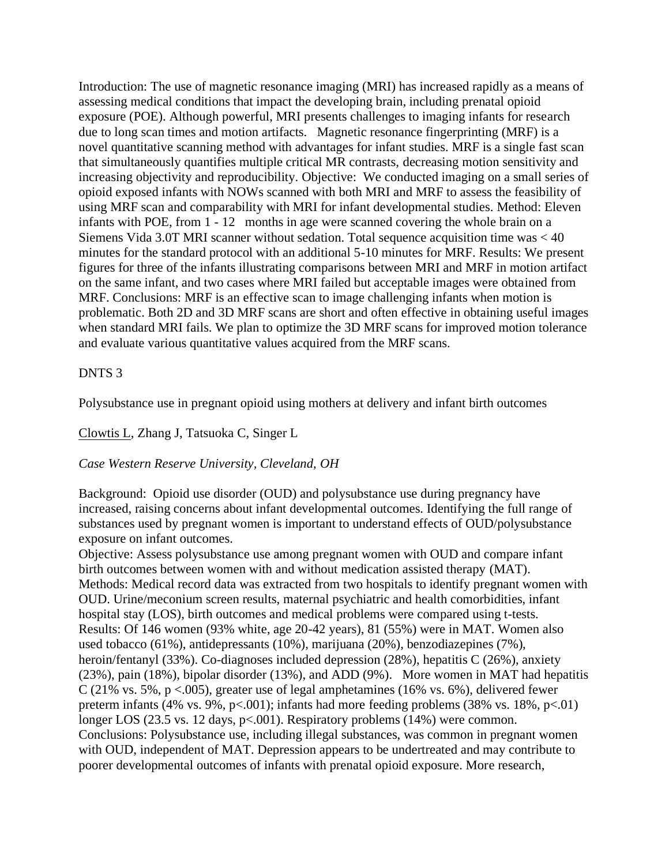Introduction: The use of magnetic resonance imaging (MRI) has increased rapidly as a means of assessing medical conditions that impact the developing brain, including prenatal opioid exposure (POE). Although powerful, MRI presents challenges to imaging infants for research due to long scan times and motion artifacts. Magnetic resonance fingerprinting (MRF) is a novel quantitative scanning method with advantages for infant studies. MRF is a single fast scan that simultaneously quantifies multiple critical MR contrasts, decreasing motion sensitivity and increasing objectivity and reproducibility. Objective: We conducted imaging on a small series of opioid exposed infants with NOWs scanned with both MRI and MRF to assess the feasibility of using MRF scan and comparability with MRI for infant developmental studies. Method: Eleven infants with POE, from 1 - 12 months in age were scanned covering the whole brain on a Siemens Vida 3.0T MRI scanner without sedation. Total sequence acquisition time was < 40 minutes for the standard protocol with an additional 5-10 minutes for MRF. Results: We present figures for three of the infants illustrating comparisons between MRI and MRF in motion artifact on the same infant, and two cases where MRI failed but acceptable images were obtained from MRF. Conclusions: MRF is an effective scan to image challenging infants when motion is problematic. Both 2D and 3D MRF scans are short and often effective in obtaining useful images when standard MRI fails. We plan to optimize the 3D MRF scans for improved motion tolerance and evaluate various quantitative values acquired from the MRF scans.

### DNTS 3

Polysubstance use in pregnant opioid using mothers at delivery and infant birth outcomes

Clowtis L, Zhang J, Tatsuoka C, Singer L

### *Case Western Reserve University, Cleveland, OH*

Background: Opioid use disorder (OUD) and polysubstance use during pregnancy have increased, raising concerns about infant developmental outcomes. Identifying the full range of substances used by pregnant women is important to understand effects of OUD/polysubstance exposure on infant outcomes.

Objective: Assess polysubstance use among pregnant women with OUD and compare infant birth outcomes between women with and without medication assisted therapy (MAT). Methods: Medical record data was extracted from two hospitals to identify pregnant women with OUD. Urine/meconium screen results, maternal psychiatric and health comorbidities, infant hospital stay (LOS), birth outcomes and medical problems were compared using t-tests. Results: Of 146 women (93% white, age 20-42 years), 81 (55%) were in MAT. Women also used tobacco (61%), antidepressants (10%), marijuana (20%), benzodiazepines (7%), heroin/fentanyl (33%). Co-diagnoses included depression (28%), hepatitis C (26%), anxiety (23%), pain (18%), bipolar disorder (13%), and ADD (9%). More women in MAT had hepatitis C (21% vs. 5%,  $p < .005$ ), greater use of legal amphetamines (16% vs. 6%), delivered fewer preterm infants (4% vs. 9%, p $<001$ ); infants had more feeding problems (38% vs. 18%, p $<01$ ) longer LOS (23.5 vs. 12 days, p<.001). Respiratory problems (14%) were common. Conclusions: Polysubstance use, including illegal substances, was common in pregnant women with OUD, independent of MAT. Depression appears to be undertreated and may contribute to poorer developmental outcomes of infants with prenatal opioid exposure. More research,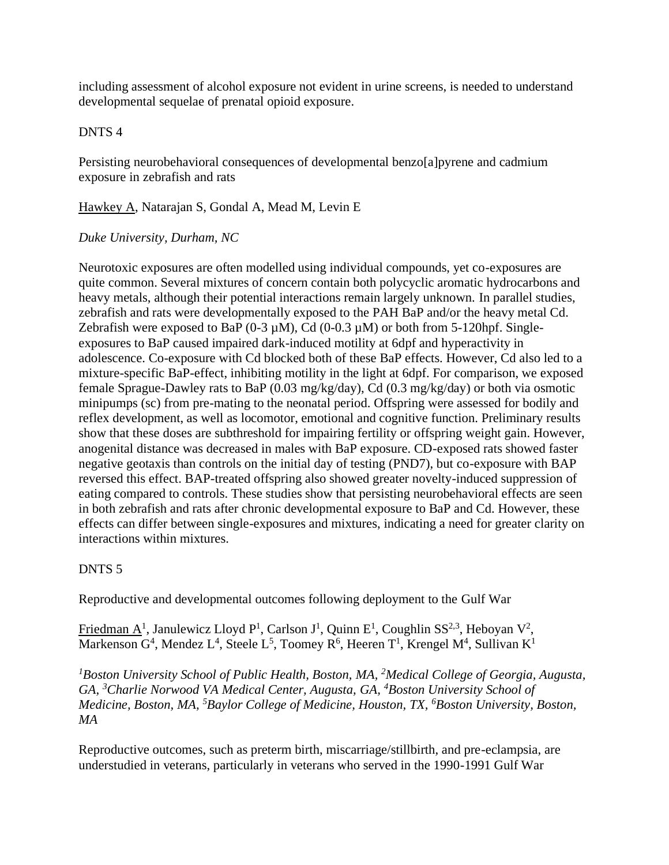including assessment of alcohol exposure not evident in urine screens, is needed to understand developmental sequelae of prenatal opioid exposure.

### DNTS 4

Persisting neurobehavioral consequences of developmental benzo[a]pyrene and cadmium exposure in zebrafish and rats

Hawkey A, Natarajan S, Gondal A, Mead M, Levin E

### *Duke University, Durham, NC*

Neurotoxic exposures are often modelled using individual compounds, yet co-exposures are quite common. Several mixtures of concern contain both polycyclic aromatic hydrocarbons and heavy metals, although their potential interactions remain largely unknown. In parallel studies, zebrafish and rats were developmentally exposed to the PAH BaP and/or the heavy metal Cd. Zebrafish were exposed to BaP  $(0-3 \mu M)$ , Cd  $(0-0.3 \mu M)$  or both from 5-120hpf. Singleexposures to BaP caused impaired dark-induced motility at 6dpf and hyperactivity in adolescence. Co-exposure with Cd blocked both of these BaP effects. However, Cd also led to a mixture-specific BaP-effect, inhibiting motility in the light at 6dpf. For comparison, we exposed female Sprague-Dawley rats to BaP (0.03 mg/kg/day), Cd (0.3 mg/kg/day) or both via osmotic minipumps (sc) from pre-mating to the neonatal period. Offspring were assessed for bodily and reflex development, as well as locomotor, emotional and cognitive function. Preliminary results show that these doses are subthreshold for impairing fertility or offspring weight gain. However, anogenital distance was decreased in males with BaP exposure. CD-exposed rats showed faster negative geotaxis than controls on the initial day of testing (PND7), but co-exposure with BAP reversed this effect. BAP-treated offspring also showed greater novelty-induced suppression of eating compared to controls. These studies show that persisting neurobehavioral effects are seen in both zebrafish and rats after chronic developmental exposure to BaP and Cd. However, these effects can differ between single-exposures and mixtures, indicating a need for greater clarity on interactions within mixtures.

## DNTS 5

Reproductive and developmental outcomes following deployment to the Gulf War

Friedman A<sup>1</sup>, Janulewicz Lloyd P<sup>1</sup>, Carlson J<sup>1</sup>, Quinn E<sup>1</sup>, Coughlin SS<sup>2,3</sup>, Heboyan V<sup>2</sup>, Markenson  $G^4$ , Mendez  $L^4$ , Steele  $L^5$ , Toomey R<sup>6</sup>, Heeren T<sup>1</sup>, Krengel M<sup>4</sup>, Sullivan K<sup>1</sup>

*<sup>1</sup>Boston University School of Public Health, Boston, MA, <sup>2</sup>Medical College of Georgia, Augusta, GA, <sup>3</sup>Charlie Norwood VA Medical Center, Augusta, GA, <sup>4</sup>Boston University School of Medicine, Boston, MA, <sup>5</sup>Baylor College of Medicine, Houston, TX, <sup>6</sup>Boston University, Boston, MA*

Reproductive outcomes, such as preterm birth, miscarriage/stillbirth, and pre-eclampsia, are understudied in veterans, particularly in veterans who served in the 1990-1991 Gulf War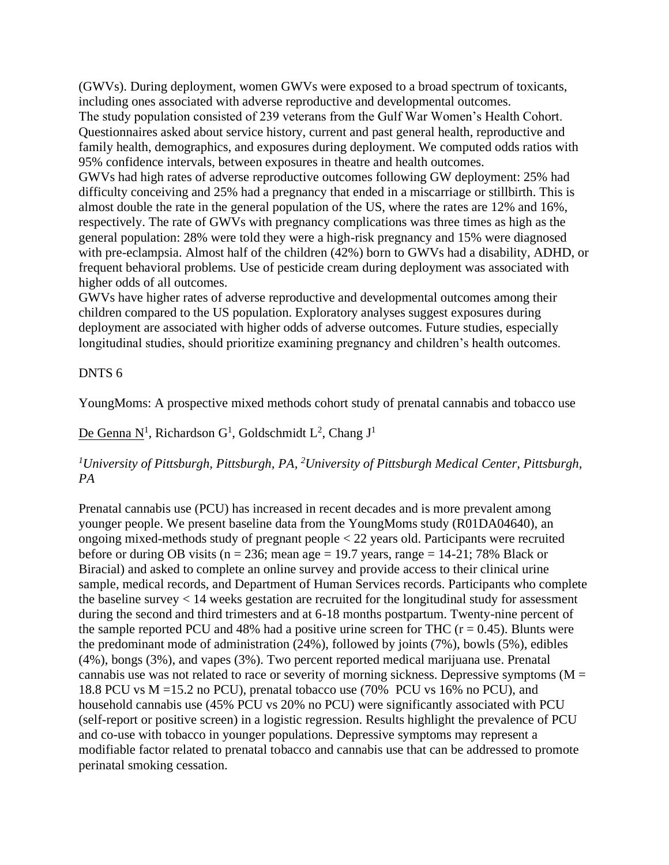(GWVs). During deployment, women GWVs were exposed to a broad spectrum of toxicants, including ones associated with adverse reproductive and developmental outcomes.

The study population consisted of 239 veterans from the Gulf War Women's Health Cohort. Questionnaires asked about service history, current and past general health, reproductive and family health, demographics, and exposures during deployment. We computed odds ratios with 95% confidence intervals, between exposures in theatre and health outcomes.

GWVs had high rates of adverse reproductive outcomes following GW deployment: 25% had difficulty conceiving and 25% had a pregnancy that ended in a miscarriage or stillbirth. This is almost double the rate in the general population of the US, where the rates are 12% and 16%, respectively. The rate of GWVs with pregnancy complications was three times as high as the general population: 28% were told they were a high-risk pregnancy and 15% were diagnosed with pre-eclampsia. Almost half of the children (42%) born to GWVs had a disability, ADHD, or frequent behavioral problems. Use of pesticide cream during deployment was associated with higher odds of all outcomes.

GWVs have higher rates of adverse reproductive and developmental outcomes among their children compared to the US population. Exploratory analyses suggest exposures during deployment are associated with higher odds of adverse outcomes. Future studies, especially longitudinal studies, should prioritize examining pregnancy and children's health outcomes.

### DNTS 6

YoungMoms: A prospective mixed methods cohort study of prenatal cannabis and tobacco use

# De Genna N<sup>1</sup>, Richardson G<sup>1</sup>, Goldschmidt L<sup>2</sup>, Chang J<sup>1</sup>

# *<sup>1</sup>University of Pittsburgh, Pittsburgh, PA, <sup>2</sup>University of Pittsburgh Medical Center, Pittsburgh, PA*

Prenatal cannabis use (PCU) has increased in recent decades and is more prevalent among younger people. We present baseline data from the YoungMoms study (R01DA04640), an ongoing mixed-methods study of pregnant people < 22 years old. Participants were recruited before or during OB visits ( $n = 236$ ; mean age = 19.7 years, range = 14-21; 78% Black or Biracial) and asked to complete an online survey and provide access to their clinical urine sample, medical records, and Department of Human Services records. Participants who complete the baseline survey < 14 weeks gestation are recruited for the longitudinal study for assessment during the second and third trimesters and at 6-18 months postpartum. Twenty-nine percent of the sample reported PCU and 48% had a positive urine screen for THC ( $r = 0.45$ ). Blunts were the predominant mode of administration (24%), followed by joints (7%), bowls (5%), edibles (4%), bongs (3%), and vapes (3%). Two percent reported medical marijuana use. Prenatal cannabis use was not related to race or severity of morning sickness. Depressive symptoms ( $M =$ 18.8 PCU vs M =15.2 no PCU), prenatal tobacco use (70% PCU vs 16% no PCU), and household cannabis use (45% PCU vs 20% no PCU) were significantly associated with PCU (self-report or positive screen) in a logistic regression. Results highlight the prevalence of PCU and co-use with tobacco in younger populations. Depressive symptoms may represent a modifiable factor related to prenatal tobacco and cannabis use that can be addressed to promote perinatal smoking cessation.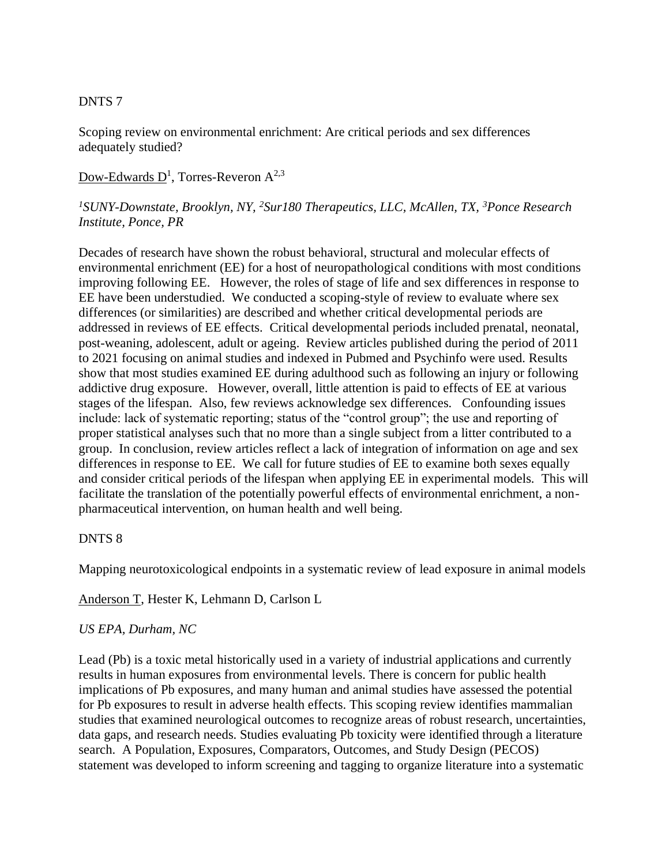## DNTS 7

Scoping review on environmental enrichment: Are critical periods and sex differences adequately studied?

 $\overline{\text{Down-Edwards D}}^1$ , Torres-Reveron  $A^{2,3}$ 

## *<sup>1</sup>SUNY-Downstate, Brooklyn, NY, <sup>2</sup>Sur180 Therapeutics, LLC, McAllen, TX, <sup>3</sup>Ponce Research Institute, Ponce, PR*

Decades of research have shown the robust behavioral, structural and molecular effects of environmental enrichment (EE) for a host of neuropathological conditions with most conditions improving following EE. However, the roles of stage of life and sex differences in response to EE have been understudied. We conducted a scoping-style of review to evaluate where sex differences (or similarities) are described and whether critical developmental periods are addressed in reviews of EE effects. Critical developmental periods included prenatal, neonatal, post-weaning, adolescent, adult or ageing. Review articles published during the period of 2011 to 2021 focusing on animal studies and indexed in Pubmed and Psychinfo were used. Results show that most studies examined EE during adulthood such as following an injury or following addictive drug exposure. However, overall, little attention is paid to effects of EE at various stages of the lifespan. Also, few reviews acknowledge sex differences. Confounding issues include: lack of systematic reporting; status of the "control group"; the use and reporting of proper statistical analyses such that no more than a single subject from a litter contributed to a group. In conclusion, review articles reflect a lack of integration of information on age and sex differences in response to EE. We call for future studies of EE to examine both sexes equally and consider critical periods of the lifespan when applying EE in experimental models. This will facilitate the translation of the potentially powerful effects of environmental enrichment, a nonpharmaceutical intervention, on human health and well being.

### DNTS 8

Mapping neurotoxicological endpoints in a systematic review of lead exposure in animal models

Anderson T, Hester K, Lehmann D, Carlson L

### *US EPA, Durham, NC*

Lead (Pb) is a toxic metal historically used in a variety of industrial applications and currently results in human exposures from environmental levels. There is concern for public health implications of Pb exposures, and many human and animal studies have assessed the potential for Pb exposures to result in adverse health effects. This scoping review identifies mammalian studies that examined neurological outcomes to recognize areas of robust research, uncertainties, data gaps, and research needs. Studies evaluating Pb toxicity were identified through a literature search. A Population, Exposures, Comparators, Outcomes, and Study Design (PECOS) statement was developed to inform screening and tagging to organize literature into a systematic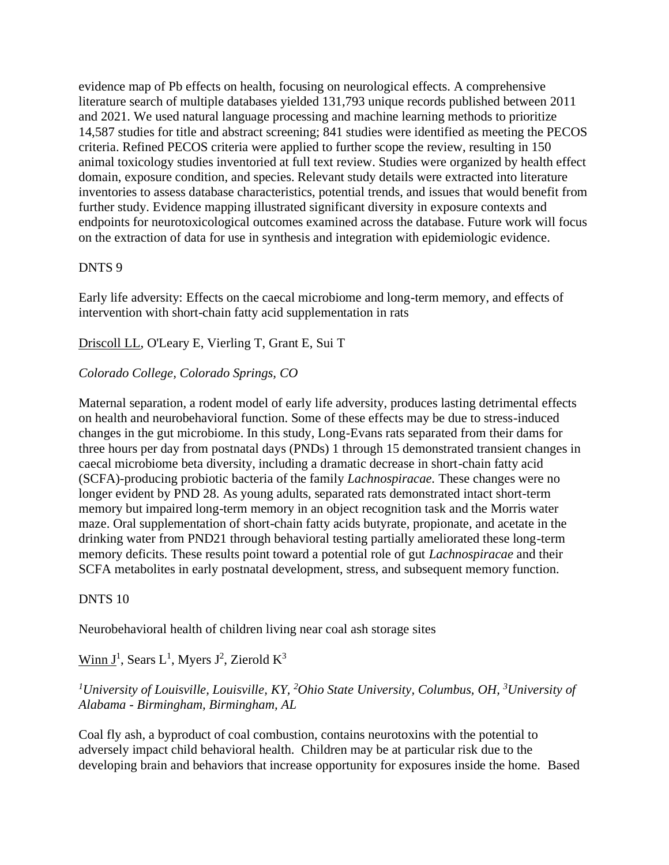evidence map of Pb effects on health, focusing on neurological effects. A comprehensive literature search of multiple databases yielded 131,793 unique records published between 2011 and 2021. We used natural language processing and machine learning methods to prioritize 14,587 studies for title and abstract screening; 841 studies were identified as meeting the PECOS criteria. Refined PECOS criteria were applied to further scope the review, resulting in 150 animal toxicology studies inventoried at full text review. Studies were organized by health effect domain, exposure condition, and species. Relevant study details were extracted into literature inventories to assess database characteristics, potential trends, and issues that would benefit from further study. Evidence mapping illustrated significant diversity in exposure contexts and endpoints for neurotoxicological outcomes examined across the database. Future work will focus on the extraction of data for use in synthesis and integration with epidemiologic evidence.

#### DNTS 9

Early life adversity: Effects on the caecal microbiome and long-term memory, and effects of intervention with short-chain fatty acid supplementation in rats

Driscoll LL, O'Leary E, Vierling T, Grant E, Sui T

### *Colorado College, Colorado Springs, CO*

Maternal separation, a rodent model of early life adversity, produces lasting detrimental effects on health and neurobehavioral function. Some of these effects may be due to stress-induced changes in the gut microbiome. In this study, Long-Evans rats separated from their dams for three hours per day from postnatal days (PNDs) 1 through 15 demonstrated transient changes in caecal microbiome beta diversity, including a dramatic decrease in short-chain fatty acid (SCFA)-producing probiotic bacteria of the family *Lachnospiracae.* These changes were no longer evident by PND 28. As young adults, separated rats demonstrated intact short-term memory but impaired long-term memory in an object recognition task and the Morris water maze. Oral supplementation of short-chain fatty acids butyrate, propionate, and acetate in the drinking water from PND21 through behavioral testing partially ameliorated these long-term memory deficits. These results point toward a potential role of gut *Lachnospiracae* and their SCFA metabolites in early postnatal development, stress, and subsequent memory function.

### DNTS 10

Neurobehavioral health of children living near coal ash storage sites

Winn  $J^1$ , Sears L<sup>1</sup>, Myers  $J^2$ , Zierold  $K^3$ 

# *<sup>1</sup>University of Louisville, Louisville, KY, <sup>2</sup>Ohio State University, Columbus, OH, <sup>3</sup>University of Alabama - Birmingham, Birmingham, AL*

Coal fly ash, a byproduct of coal combustion, contains neurotoxins with the potential to adversely impact child behavioral health. Children may be at particular risk due to the developing brain and behaviors that increase opportunity for exposures inside the home. Based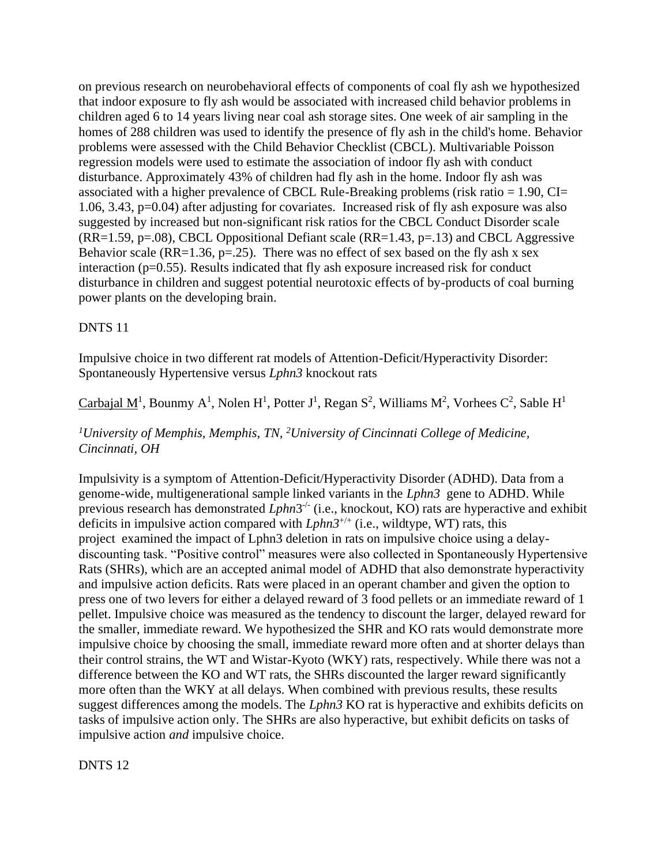on previous research on neurobehavioral effects of components of coal fly ash we hypothesized that indoor exposure to fly ash would be associated with increased child behavior problems in children aged 6 to 14 years living near coal ash storage sites. One week of air sampling in the homes of 288 children was used to identify the presence of fly ash in the child's home. Behavior problems were assessed with the Child Behavior Checklist (CBCL). Multivariable Poisson regression models were used to estimate the association of indoor fly ash with conduct disturbance. Approximately 43% of children had fly ash in the home. Indoor fly ash was associated with a higher prevalence of CBCL Rule-Breaking problems (risk ratio  $= 1.90$ , CI $=$ 1.06, 3.43, p=0.04) after adjusting for covariates. Increased risk of fly ash exposure was also suggested by increased but non-significant risk ratios for the CBCL Conduct Disorder scale  $(RR=1.59, p=.08)$ , CBCL Oppositional Defiant scale  $(RR=1.43, p=.13)$  and CBCL Aggressive Behavior scale (RR=1.36, p=.25). There was no effect of sex based on the fly ash x sex interaction (p=0.55). Results indicated that fly ash exposure increased risk for conduct disturbance in children and suggest potential neurotoxic effects of by-products of coal burning power plants on the developing brain.

### DNTS 11

Impulsive choice in two different rat models of Attention-Deficit/Hyperactivity Disorder: Spontaneously Hypertensive versus *Lphn3* knockout rats

Carbajal M<sup>1</sup>, Bounmy A<sup>1</sup>, Nolen H<sup>1</sup>, Potter J<sup>1</sup>, Regan S<sup>2</sup>, Williams M<sup>2</sup>, Vorhees C<sup>2</sup>, Sable H<sup>1</sup>

*<sup>1</sup>University of Memphis, Memphis, TN, <sup>2</sup>University of Cincinnati College of Medicine, Cincinnati, OH*

Impulsivity is a symptom of Attention-Deficit/Hyperactivity Disorder (ADHD). Data from a genome-wide, multigenerational sample linked variants in the *Lphn3* gene to ADHD. While previous research has demonstrated *Lphn*3<sup>-/-</sup> (i.e., knockout, KO) rats are hyperactive and exhibit deficits in impulsive action compared with *Lphn3*+/+ (i.e., wildtype, WT) rats, this project examined the impact of Lphn3 deletion in rats on impulsive choice using a delaydiscounting task. "Positive control" measures were also collected in Spontaneously Hypertensive Rats (SHRs), which are an accepted animal model of ADHD that also demonstrate hyperactivity and impulsive action deficits. Rats were placed in an operant chamber and given the option to press one of two levers for either a delayed reward of 3 food pellets or an immediate reward of 1 pellet. Impulsive choice was measured as the tendency to discount the larger, delayed reward for the smaller, immediate reward. We hypothesized the SHR and KO rats would demonstrate more impulsive choice by choosing the small, immediate reward more often and at shorter delays than their control strains, the WT and Wistar-Kyoto (WKY) rats, respectively. While there was not a difference between the KO and WT rats, the SHRs discounted the larger reward significantly more often than the WKY at all delays. When combined with previous results, these results suggest differences among the models. The *Lphn3* KO rat is hyperactive and exhibits deficits on tasks of impulsive action only. The SHRs are also hyperactive, but exhibit deficits on tasks of impulsive action *and* impulsive choice.

DNTS 12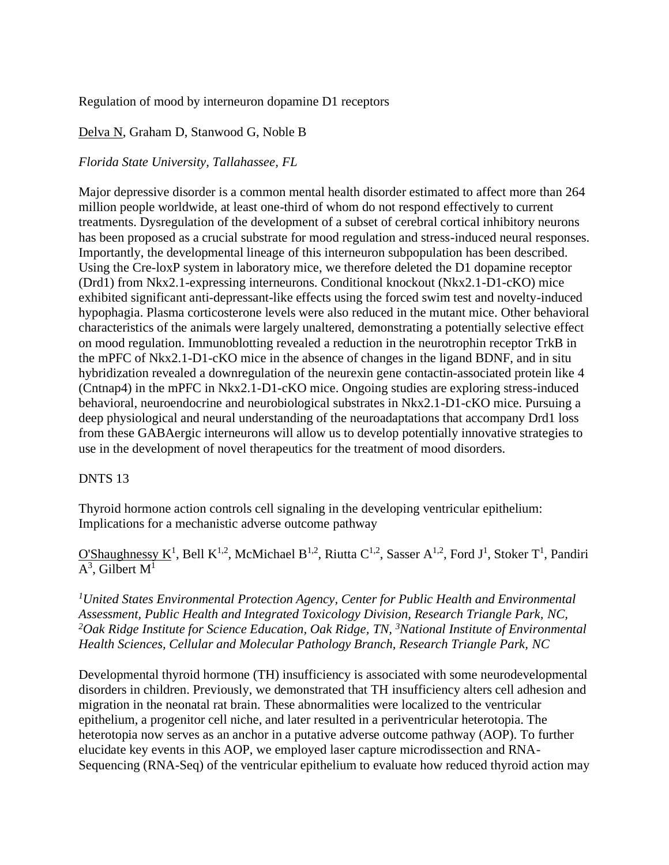### Regulation of mood by interneuron dopamine D1 receptors

## Delva N, Graham D, Stanwood G, Noble B

### *Florida State University, Tallahassee, FL*

Major depressive disorder is a common mental health disorder estimated to affect more than 264 million people worldwide, at least one-third of whom do not respond effectively to current treatments. Dysregulation of the development of a subset of cerebral cortical inhibitory neurons has been proposed as a crucial substrate for mood regulation and stress-induced neural responses. Importantly, the developmental lineage of this interneuron subpopulation has been described. Using the Cre-loxP system in laboratory mice, we therefore deleted the D1 dopamine receptor (Drd1) from Nkx2.1-expressing interneurons. Conditional knockout (Nkx2.1-D1-cKO) mice exhibited significant anti-depressant-like effects using the forced swim test and novelty-induced hypophagia. Plasma corticosterone levels were also reduced in the mutant mice. Other behavioral characteristics of the animals were largely unaltered, demonstrating a potentially selective effect on mood regulation. Immunoblotting revealed a reduction in the neurotrophin receptor TrkB in the mPFC of Nkx2.1-D1-cKO mice in the absence of changes in the ligand BDNF, and in situ hybridization revealed a downregulation of the neurexin gene contactin-associated protein like 4 (Cntnap4) in the mPFC in Nkx2.1-D1-cKO mice. Ongoing studies are exploring stress-induced behavioral, neuroendocrine and neurobiological substrates in Nkx2.1-D1-cKO mice. Pursuing a deep physiological and neural understanding of the neuroadaptations that accompany Drd1 loss from these GABAergic interneurons will allow us to develop potentially innovative strategies to use in the development of novel therapeutics for the treatment of mood disorders.

### DNTS 13

Thyroid hormone action controls cell signaling in the developing ventricular epithelium: Implications for a mechanistic adverse outcome pathway

O'Shaughnessy K<sup>1</sup>, Bell K<sup>1,2</sup>, McMichael B<sup>1,2</sup>, Riutta C<sup>1,2</sup>, Sasser A<sup>1,2</sup>, Ford J<sup>1</sup>, Stoker T<sup>1</sup>, Pandiri  $A^3$ , Gilbert  $M^1$ 

*<sup>1</sup>United States Environmental Protection Agency, Center for Public Health and Environmental Assessment, Public Health and Integrated Toxicology Division, Research Triangle Park, NC, <sup>2</sup>Oak Ridge Institute for Science Education, Oak Ridge, TN, <sup>3</sup>National Institute of Environmental Health Sciences, Cellular and Molecular Pathology Branch, Research Triangle Park, NC*

Developmental thyroid hormone (TH) insufficiency is associated with some neurodevelopmental disorders in children. Previously, we demonstrated that TH insufficiency alters cell adhesion and migration in the neonatal rat brain. These abnormalities were localized to the ventricular epithelium, a progenitor cell niche, and later resulted in a periventricular heterotopia. The heterotopia now serves as an anchor in a putative adverse outcome pathway (AOP). To further elucidate key events in this AOP, we employed laser capture microdissection and RNA-Sequencing (RNA-Seq) of the ventricular epithelium to evaluate how reduced thyroid action may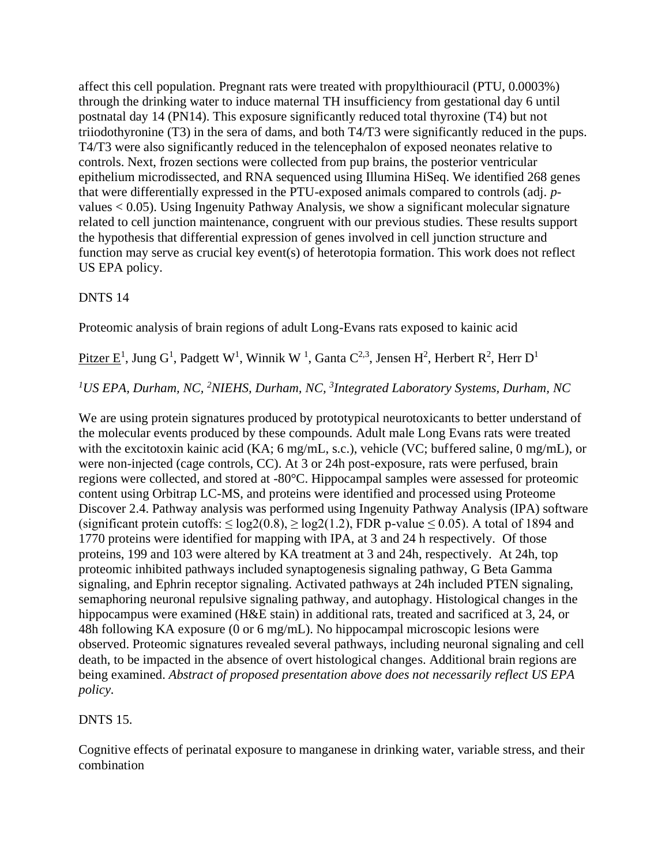affect this cell population. Pregnant rats were treated with propylthiouracil (PTU, 0.0003%) through the drinking water to induce maternal TH insufficiency from gestational day 6 until postnatal day 14 (PN14). This exposure significantly reduced total thyroxine (T4) but not triiodothyronine (T3) in the sera of dams, and both T4/T3 were significantly reduced in the pups. T4/T3 were also significantly reduced in the telencephalon of exposed neonates relative to controls. Next, frozen sections were collected from pup brains, the posterior ventricular epithelium microdissected, and RNA sequenced using Illumina HiSeq. We identified 268 genes that were differentially expressed in the PTU-exposed animals compared to controls (adj. *p*values < 0.05). Using Ingenuity Pathway Analysis, we show a significant molecular signature related to cell junction maintenance, congruent with our previous studies. These results support the hypothesis that differential expression of genes involved in cell junction structure and function may serve as crucial key event(s) of heterotopia formation. This work does not reflect US EPA policy.

### DNTS 14

Proteomic analysis of brain regions of adult Long-Evans rats exposed to kainic acid

Pitzer E<sup>1</sup>, Jung G<sup>1</sup>, Padgett W<sup>1</sup>, Winnik W<sup>1</sup>, Ganta C<sup>2,3</sup>, Jensen H<sup>2</sup>, Herbert R<sup>2</sup>, Herr D<sup>1</sup>

#### *<sup>1</sup>US EPA, Durham, NC, <sup>2</sup>NIEHS, Durham, NC, <sup>3</sup> Integrated Laboratory Systems, Durham, NC*

We are using protein signatures produced by prototypical neurotoxicants to better understand of the molecular events produced by these compounds. Adult male Long Evans rats were treated with the excitotoxin kainic acid (KA; 6 mg/mL, s.c.), vehicle (VC; buffered saline, 0 mg/mL), or were non-injected (cage controls, CC). At 3 or 24h post-exposure, rats were perfused, brain regions were collected, and stored at -80°C. Hippocampal samples were assessed for proteomic content using Orbitrap LC-MS, and proteins were identified and processed using Proteome Discover 2.4. Pathway analysis was performed using Ingenuity Pathway Analysis (IPA) software (significant protein cutoffs:  $\leq$  log2(0.8),  $\geq$  log2(1.2), FDR p-value  $\leq$  0.05). A total of 1894 and 1770 proteins were identified for mapping with IPA, at 3 and 24 h respectively. Of those proteins, 199 and 103 were altered by KA treatment at 3 and 24h, respectively. At 24h, top proteomic inhibited pathways included synaptogenesis signaling pathway, G Beta Gamma signaling, and Ephrin receptor signaling. Activated pathways at 24h included PTEN signaling, semaphoring neuronal repulsive signaling pathway, and autophagy. Histological changes in the hippocampus were examined (H&E stain) in additional rats, treated and sacrificed at 3, 24, or 48h following KA exposure (0 or 6 mg/mL). No hippocampal microscopic lesions were observed. Proteomic signatures revealed several pathways, including neuronal signaling and cell death, to be impacted in the absence of overt histological changes. Additional brain regions are being examined. *Abstract of proposed presentation above does not necessarily reflect US EPA policy.*

### DNTS 15.

Cognitive effects of perinatal exposure to manganese in drinking water, variable stress, and their combination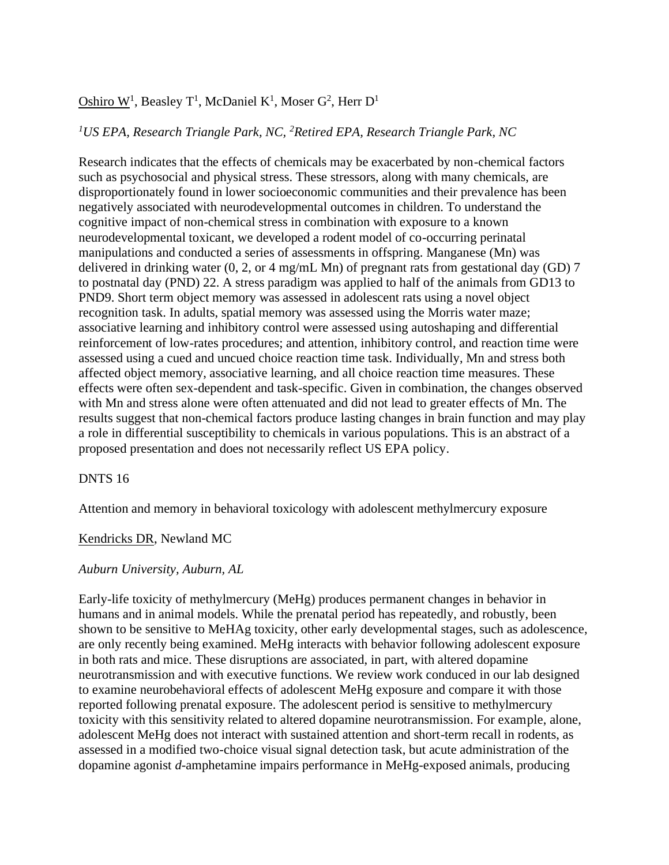# Oshiro W<sup>1</sup>, Beasley T<sup>1</sup>, McDaniel K<sup>1</sup>, Moser G<sup>2</sup>, Herr D<sup>1</sup>

#### *<sup>1</sup>US EPA, Research Triangle Park, NC, <sup>2</sup>Retired EPA, Research Triangle Park, NC*

Research indicates that the effects of chemicals may be exacerbated by non-chemical factors such as psychosocial and physical stress. These stressors, along with many chemicals, are disproportionately found in lower socioeconomic communities and their prevalence has been negatively associated with neurodevelopmental outcomes in children. To understand the cognitive impact of non-chemical stress in combination with exposure to a known neurodevelopmental toxicant, we developed a rodent model of co-occurring perinatal manipulations and conducted a series of assessments in offspring. Manganese (Mn) was delivered in drinking water (0, 2, or 4 mg/mL Mn) of pregnant rats from gestational day (GD) 7 to postnatal day (PND) 22. A stress paradigm was applied to half of the animals from GD13 to PND9. Short term object memory was assessed in adolescent rats using a novel object recognition task. In adults, spatial memory was assessed using the Morris water maze; associative learning and inhibitory control were assessed using autoshaping and differential reinforcement of low-rates procedures; and attention, inhibitory control, and reaction time were assessed using a cued and uncued choice reaction time task. Individually, Mn and stress both affected object memory, associative learning, and all choice reaction time measures. These effects were often sex-dependent and task-specific. Given in combination, the changes observed with Mn and stress alone were often attenuated and did not lead to greater effects of Mn. The results suggest that non-chemical factors produce lasting changes in brain function and may play a role in differential susceptibility to chemicals in various populations. This is an abstract of a proposed presentation and does not necessarily reflect US EPA policy.

#### DNTS 16

Attention and memory in behavioral toxicology with adolescent methylmercury exposure

#### Kendricks DR, Newland MC

#### *Auburn University, Auburn, AL*

Early-life toxicity of methylmercury (MeHg) produces permanent changes in behavior in humans and in animal models. While the prenatal period has repeatedly, and robustly, been shown to be sensitive to MeHAg toxicity, other early developmental stages, such as adolescence, are only recently being examined. MeHg interacts with behavior following adolescent exposure in both rats and mice. These disruptions are associated, in part, with altered dopamine neurotransmission and with executive functions. We review work conduced in our lab designed to examine neurobehavioral effects of adolescent MeHg exposure and compare it with those reported following prenatal exposure. The adolescent period is sensitive to methylmercury toxicity with this sensitivity related to altered dopamine neurotransmission. For example, alone, adolescent MeHg does not interact with sustained attention and short-term recall in rodents, as assessed in a modified two-choice visual signal detection task, but acute administration of the dopamine agonist *d*-amphetamine impairs performance in MeHg-exposed animals, producing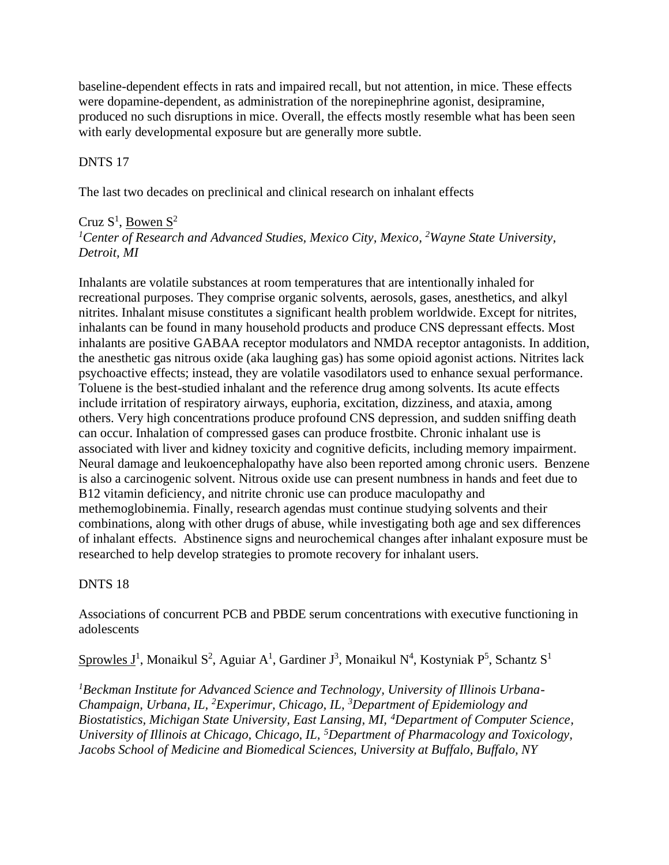baseline-dependent effects in rats and impaired recall, but not attention, in mice. These effects were dopamine-dependent, as administration of the norepinephrine agonist, desipramine, produced no such disruptions in mice. Overall, the effects mostly resemble what has been seen with early developmental exposure but are generally more subtle.

## DNTS 17

The last two decades on preclinical and clinical research on inhalant effects

## Cruz  $S^1$ , <u>Bowen  $S^2$ </u>

*<sup>1</sup>Center of Research and Advanced Studies, Mexico City, Mexico, <sup>2</sup>Wayne State University, Detroit, MI*

Inhalants are volatile substances at room temperatures that are intentionally inhaled for recreational purposes. They comprise organic solvents, aerosols, gases, anesthetics, and alkyl nitrites. Inhalant misuse constitutes a significant health problem worldwide. Except for nitrites, inhalants can be found in many household products and produce CNS depressant effects. Most inhalants are positive GABAA receptor modulators and NMDA receptor antagonists. In addition, the anesthetic gas nitrous oxide (aka laughing gas) has some opioid agonist actions. Nitrites lack psychoactive effects; instead, they are volatile vasodilators used to enhance sexual performance. Toluene is the best-studied inhalant and the reference drug among solvents. Its acute effects include irritation of respiratory airways, euphoria, excitation, dizziness, and ataxia, among others. Very high concentrations produce profound CNS depression, and sudden sniffing death can occur. Inhalation of compressed gases can produce frostbite. Chronic inhalant use is associated with liver and kidney toxicity and cognitive deficits, including memory impairment. Neural damage and leukoencephalopathy have also been reported among chronic users. Benzene is also a carcinogenic solvent. Nitrous oxide use can present numbness in hands and feet due to B12 vitamin deficiency, and nitrite chronic use can produce maculopathy and methemoglobinemia. Finally, research agendas must continue studying solvents and their combinations, along with other drugs of abuse, while investigating both age and sex differences of inhalant effects. Abstinence signs and neurochemical changes after inhalant exposure must be researched to help develop strategies to promote recovery for inhalant users.

## DNTS 18

Associations of concurrent PCB and PBDE serum concentrations with executive functioning in adolescents

Sprowles  $J^1$ , Monaikul S<sup>2</sup>, Aguiar A<sup>1</sup>, Gardiner J<sup>3</sup>, Monaikul N<sup>4</sup>, Kostyniak P<sup>5</sup>, Schantz S<sup>1</sup>

*1Beckman Institute for Advanced Science and Technology, University of Illinois Urbana-Champaign, Urbana, IL, <sup>2</sup>Experimur, Chicago, IL, <sup>3</sup>Department of Epidemiology and Biostatistics, Michigan State University, East Lansing, MI, <sup>4</sup>Department of Computer Science, University of Illinois at Chicago, Chicago, IL, <sup>5</sup>Department of Pharmacology and Toxicology, Jacobs School of Medicine and Biomedical Sciences, University at Buffalo, Buffalo, NY*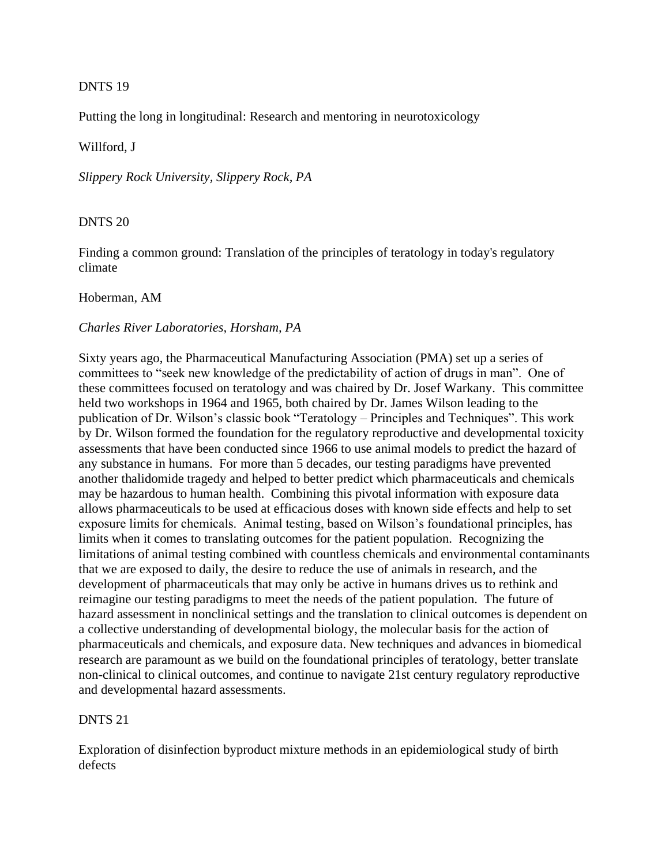### DNTS 19

Putting the long in longitudinal: Research and mentoring in neurotoxicology

### Willford, J

*Slippery Rock University, Slippery Rock, PA*

### DNTS 20

Finding a common ground: Translation of the principles of teratology in today's regulatory climate

### Hoberman, AM

### *Charles River Laboratories, Horsham, PA*

Sixty years ago, the Pharmaceutical Manufacturing Association (PMA) set up a series of committees to "seek new knowledge of the predictability of action of drugs in man". One of these committees focused on teratology and was chaired by Dr. Josef Warkany. This committee held two workshops in 1964 and 1965, both chaired by Dr. James Wilson leading to the publication of Dr. Wilson's classic book "Teratology – Principles and Techniques". This work by Dr. Wilson formed the foundation for the regulatory reproductive and developmental toxicity assessments that have been conducted since 1966 to use animal models to predict the hazard of any substance in humans. For more than 5 decades, our testing paradigms have prevented another thalidomide tragedy and helped to better predict which pharmaceuticals and chemicals may be hazardous to human health. Combining this pivotal information with exposure data allows pharmaceuticals to be used at efficacious doses with known side effects and help to set exposure limits for chemicals. Animal testing, based on Wilson's foundational principles, has limits when it comes to translating outcomes for the patient population. Recognizing the limitations of animal testing combined with countless chemicals and environmental contaminants that we are exposed to daily, the desire to reduce the use of animals in research, and the development of pharmaceuticals that may only be active in humans drives us to rethink and reimagine our testing paradigms to meet the needs of the patient population. The future of hazard assessment in nonclinical settings and the translation to clinical outcomes is dependent on a collective understanding of developmental biology, the molecular basis for the action of pharmaceuticals and chemicals, and exposure data. New techniques and advances in biomedical research are paramount as we build on the foundational principles of teratology, better translate non-clinical to clinical outcomes, and continue to navigate 21st century regulatory reproductive and developmental hazard assessments.

### DNTS 21

Exploration of disinfection byproduct mixture methods in an epidemiological study of birth defects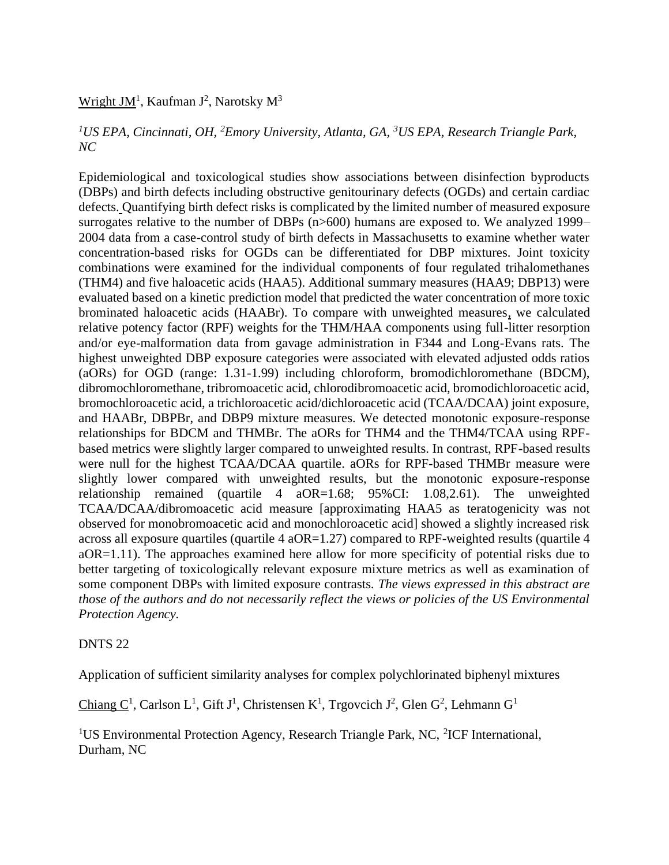## Wright JM<sup>1</sup>, Kaufman J<sup>2</sup>, Narotsky M<sup>3</sup>

## *<sup>1</sup>US EPA, Cincinnati, OH, <sup>2</sup>Emory University, Atlanta, GA, <sup>3</sup>US EPA, Research Triangle Park, NC*

Epidemiological and toxicological studies show associations between disinfection byproducts (DBPs) and birth defects including obstructive genitourinary defects (OGDs) and certain cardiac defects. Quantifying birth defect risks is complicated by the limited number of measured exposure surrogates relative to the number of DBPs (n>600) humans are exposed to. We analyzed 1999– 2004 data from a case-control study of birth defects in Massachusetts to examine whether water concentration-based risks for OGDs can be differentiated for DBP mixtures. Joint toxicity combinations were examined for the individual components of four regulated trihalomethanes (THM4) and five haloacetic acids (HAA5). Additional summary measures (HAA9; DBP13) were evaluated based on a kinetic prediction model that predicted the water concentration of more toxic brominated haloacetic acids (HAABr). To compare with unweighted measures, we calculated relative potency factor (RPF) weights for the THM/HAA components using full-litter resorption and/or eye-malformation data from gavage administration in F344 and Long-Evans rats. The highest unweighted DBP exposure categories were associated with elevated adjusted odds ratios (aORs) for OGD (range: 1.31-1.99) including chloroform, bromodichloromethane (BDCM), dibromochloromethane, tribromoacetic acid, chlorodibromoacetic acid, bromodichloroacetic acid, bromochloroacetic acid, a trichloroacetic acid/dichloroacetic acid (TCAA/DCAA) joint exposure, and HAABr, DBPBr, and DBP9 mixture measures. We detected monotonic exposure-response relationships for BDCM and THMBr. The aORs for THM4 and the THM4/TCAA using RPFbased metrics were slightly larger compared to unweighted results. In contrast, RPF-based results were null for the highest TCAA/DCAA quartile. aORs for RPF-based THMBr measure were slightly lower compared with unweighted results, but the monotonic exposure-response relationship remained (quartile 4 aOR=1.68; 95%CI: 1.08,2.61). The unweighted TCAA/DCAA/dibromoacetic acid measure [approximating HAA5 as teratogenicity was not observed for monobromoacetic acid and monochloroacetic acid] showed a slightly increased risk across all exposure quartiles (quartile 4 aOR=1.27) compared to RPF-weighted results (quartile 4 aOR=1.11). The approaches examined here allow for more specificity of potential risks due to better targeting of toxicologically relevant exposure mixture metrics as well as examination of some component DBPs with limited exposure contrasts. *The views expressed in this abstract are those of the authors and do not necessarily reflect the views or policies of the US Environmental Protection Agency.*

#### DNTS 22

Application of sufficient similarity analyses for complex polychlorinated biphenyl mixtures

Chiang  $C^1$ , Carlson L<sup>1</sup>, Gift J<sup>1</sup>, Christensen K<sup>1</sup>, Trgovcich J<sup>2</sup>, Glen G<sup>2</sup>, Lehmann G<sup>1</sup>

<sup>1</sup>US Environmental Protection Agency, Research Triangle Park, NC, <sup>2</sup>ICF International, Durham, NC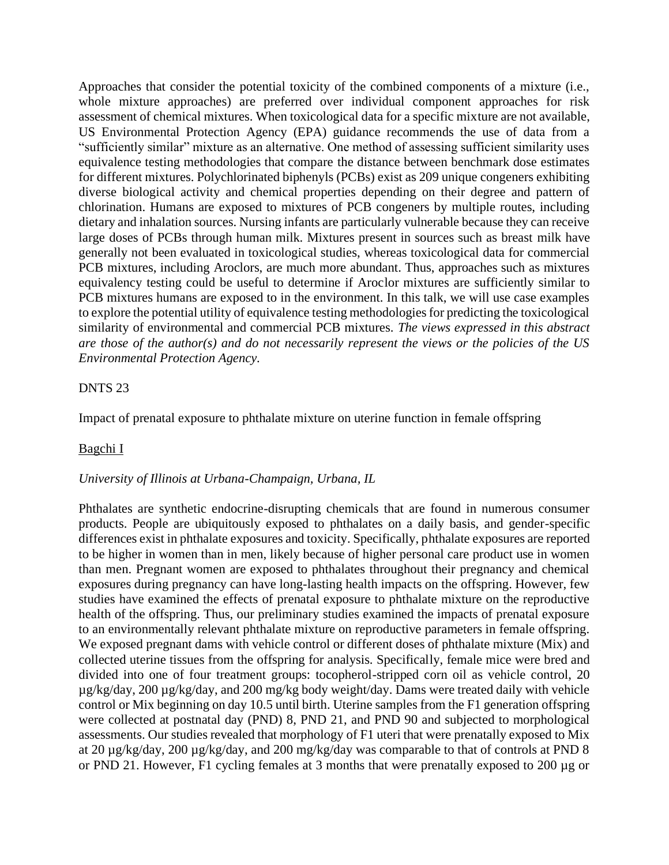Approaches that consider the potential toxicity of the combined components of a mixture (i.e., whole mixture approaches) are preferred over individual component approaches for risk assessment of chemical mixtures. When toxicological data for a specific mixture are not available, US Environmental Protection Agency (EPA) guidance recommends the use of data from a "sufficiently similar" mixture as an alternative. One method of assessing sufficient similarity uses equivalence testing methodologies that compare the distance between benchmark dose estimates for different mixtures. Polychlorinated biphenyls (PCBs) exist as 209 unique congeners exhibiting diverse biological activity and chemical properties depending on their degree and pattern of chlorination. Humans are exposed to mixtures of PCB congeners by multiple routes, including dietary and inhalation sources. Nursing infants are particularly vulnerable because they can receive large doses of PCBs through human milk. Mixtures present in sources such as breast milk have generally not been evaluated in toxicological studies, whereas toxicological data for commercial PCB mixtures, including Aroclors, are much more abundant. Thus, approaches such as mixtures equivalency testing could be useful to determine if Aroclor mixtures are sufficiently similar to PCB mixtures humans are exposed to in the environment. In this talk, we will use case examples to explore the potential utility of equivalence testing methodologies for predicting the toxicological similarity of environmental and commercial PCB mixtures. *The views expressed in this abstract are those of the author(s) and do not necessarily represent the views or the policies of the US Environmental Protection Agency.*

### DNTS 23

Impact of prenatal exposure to phthalate mixture on uterine function in female offspring

### Bagchi I

### *University of Illinois at Urbana-Champaign, Urbana, IL*

Phthalates are synthetic endocrine-disrupting chemicals that are found in numerous consumer products. People are ubiquitously exposed to phthalates on a daily basis, and gender-specific differences exist in phthalate exposures and toxicity. Specifically, phthalate exposures are reported to be higher in women than in men, likely because of higher personal care product use in women than men. Pregnant women are exposed to phthalates throughout their pregnancy and chemical exposures during pregnancy can have long-lasting health impacts on the offspring. However, few studies have examined the effects of prenatal exposure to phthalate mixture on the reproductive health of the offspring. Thus, our preliminary studies examined the impacts of prenatal exposure to an environmentally relevant phthalate mixture on reproductive parameters in female offspring. We exposed pregnant dams with vehicle control or different doses of phthalate mixture (Mix) and collected uterine tissues from the offspring for analysis. Specifically, female mice were bred and divided into one of four treatment groups: tocopherol-stripped corn oil as vehicle control, 20 µg/kg/day, 200 µg/kg/day, and 200 mg/kg body weight/day. Dams were treated daily with vehicle control or Mix beginning on day 10.5 until birth. Uterine samples from the F1 generation offspring were collected at postnatal day (PND) 8, PND 21, and PND 90 and subjected to morphological assessments. Our studies revealed that morphology of F1 uteri that were prenatally exposed to Mix at 20 µg/kg/day, 200 µg/kg/day, and 200 mg/kg/day was comparable to that of controls at PND 8 or PND 21. However, F1 cycling females at 3 months that were prenatally exposed to 200 µg or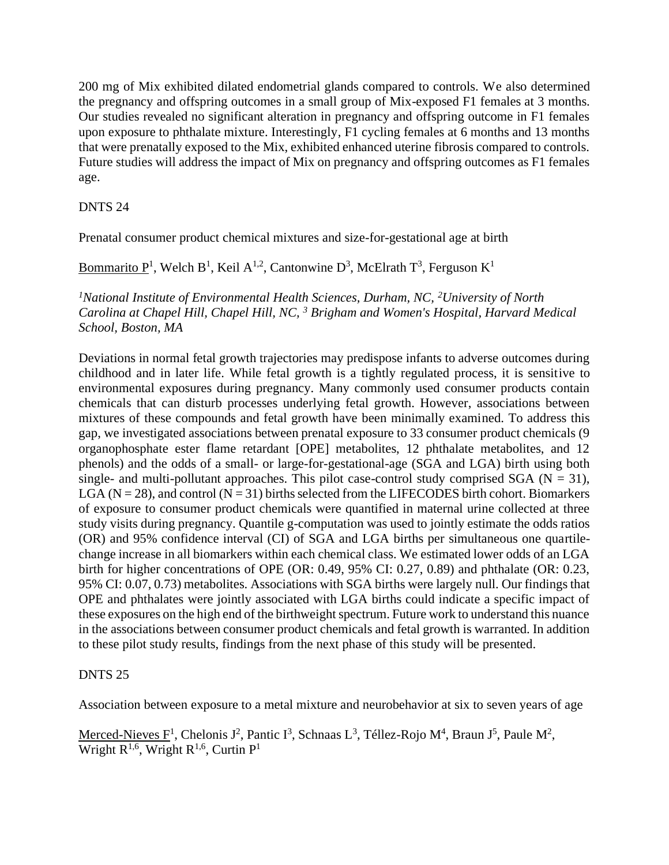200 mg of Mix exhibited dilated endometrial glands compared to controls. We also determined the pregnancy and offspring outcomes in a small group of Mix-exposed F1 females at 3 months. Our studies revealed no significant alteration in pregnancy and offspring outcome in F1 females upon exposure to phthalate mixture. Interestingly, F1 cycling females at 6 months and 13 months that were prenatally exposed to the Mix, exhibited enhanced uterine fibrosis compared to controls. Future studies will address the impact of Mix on pregnancy and offspring outcomes as F1 females age.

## DNTS 24

Prenatal consumer product chemical mixtures and size-for-gestational age at birth

# Bommarito  $P^1$ , Welch B<sup>1</sup>, Keil A<sup>1,2</sup>, Cantonwine D<sup>3</sup>, McElrath T<sup>3</sup>, Ferguson K<sup>1</sup>

<sup>1</sup>*National Institute of Environmental Health Sciences, Durham, NC, <sup>2</sup><i>University of North Carolina at Chapel Hill, Chapel Hill, NC, <sup>3</sup> Brigham and Women's Hospital, Harvard Medical School, Boston, MA*

Deviations in normal fetal growth trajectories may predispose infants to adverse outcomes during childhood and in later life. While fetal growth is a tightly regulated process, it is sensitive to environmental exposures during pregnancy. Many commonly used consumer products contain chemicals that can disturb processes underlying fetal growth. However, associations between mixtures of these compounds and fetal growth have been minimally examined. To address this gap, we investigated associations between prenatal exposure to 33 consumer product chemicals (9 organophosphate ester flame retardant [OPE] metabolites, 12 phthalate metabolites, and 12 phenols) and the odds of a small- or large-for-gestational-age (SGA and LGA) birth using both single- and multi-pollutant approaches. This pilot case-control study comprised SGA ( $N = 31$ ), LGA ( $N = 28$ ), and control ( $N = 31$ ) births selected from the LIFECODES birth cohort. Biomarkers of exposure to consumer product chemicals were quantified in maternal urine collected at three study visits during pregnancy. Quantile g-computation was used to jointly estimate the odds ratios (OR) and 95% confidence interval (CI) of SGA and LGA births per simultaneous one quartilechange increase in all biomarkers within each chemical class. We estimated lower odds of an LGA birth for higher concentrations of OPE (OR: 0.49, 95% CI: 0.27, 0.89) and phthalate (OR: 0.23, 95% CI: 0.07, 0.73) metabolites. Associations with SGA births were largely null. Our findings that OPE and phthalates were jointly associated with LGA births could indicate a specific impact of these exposures on the high end of the birthweight spectrum. Future work to understand this nuance in the associations between consumer product chemicals and fetal growth is warranted. In addition to these pilot study results, findings from the next phase of this study will be presented.

## DNTS 25

Association between exposure to a metal mixture and neurobehavior at six to seven years of age

Merced-Nieves  $F^1$ , Chelonis J<sup>2</sup>, Pantic I<sup>3</sup>, Schnaas L<sup>3</sup>, Téllez-Rojo M<sup>4</sup>, Braun J<sup>5</sup>, Paule M<sup>2</sup>, Wright R<sup>1,6</sup>, Wright R<sup>1,6</sup>, Curtin P<sup>1</sup>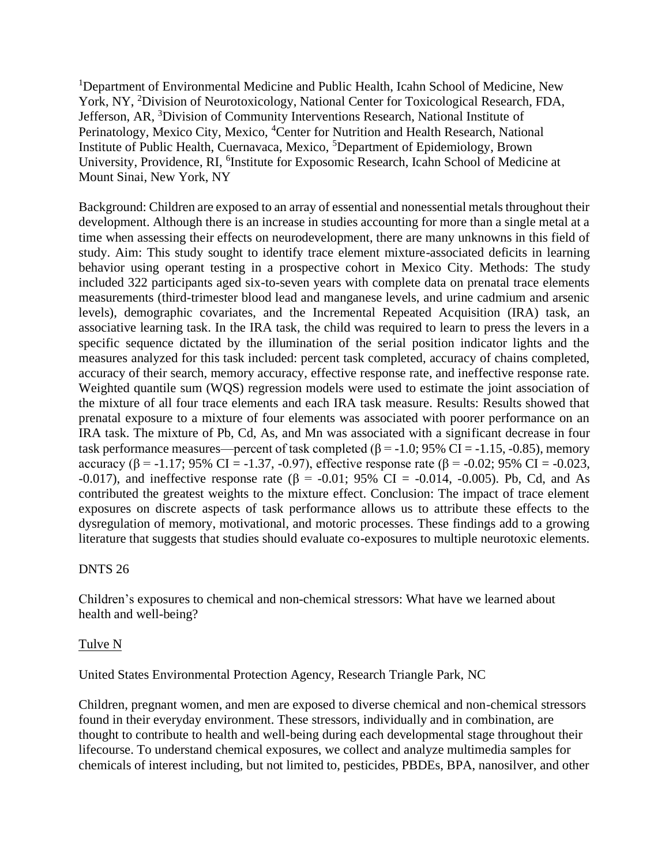<sup>1</sup>Department of Environmental Medicine and Public Health, Icahn School of Medicine, New York, NY, <sup>2</sup>Division of Neurotoxicology, National Center for Toxicological Research, FDA, Jefferson, AR, <sup>3</sup>Division of Community Interventions Research, National Institute of Perinatology, Mexico City, Mexico, <sup>4</sup>Center for Nutrition and Health Research, National Institute of Public Health, Cuernavaca, Mexico, <sup>5</sup>Department of Epidemiology, Brown University, Providence, RI, <sup>6</sup>Institute for Exposomic Research, Icahn School of Medicine at Mount Sinai, New York, NY

Background: Children are exposed to an array of essential and nonessential metals throughout their development. Although there is an increase in studies accounting for more than a single metal at a time when assessing their effects on neurodevelopment, there are many unknowns in this field of study. Aim: This study sought to identify trace element mixture-associated deficits in learning behavior using operant testing in a prospective cohort in Mexico City. Methods: The study included 322 participants aged six-to-seven years with complete data on prenatal trace elements measurements (third-trimester blood lead and manganese levels, and urine cadmium and arsenic levels), demographic covariates, and the Incremental Repeated Acquisition (IRA) task, an associative learning task. In the IRA task, the child was required to learn to press the levers in a specific sequence dictated by the illumination of the serial position indicator lights and the measures analyzed for this task included: percent task completed, accuracy of chains completed, accuracy of their search, memory accuracy, effective response rate, and ineffective response rate. Weighted quantile sum (WQS) regression models were used to estimate the joint association of the mixture of all four trace elements and each IRA task measure. Results: Results showed that prenatal exposure to a mixture of four elements was associated with poorer performance on an IRA task. The mixture of Pb, Cd, As, and Mn was associated with a significant decrease in four task performance measures—percent of task completed ( $\beta$  = -1.0; 95% CI = -1.15, -0.85), memory accuracy (β = -1.17; 95% CI = -1.37, -0.97), effective response rate (β = -0.02; 95% CI = -0.023, -0.017), and ineffective response rate (β = -0.01; 95% CI = -0.014, -0.005). Pb, Cd, and As contributed the greatest weights to the mixture effect. Conclusion: The impact of trace element exposures on discrete aspects of task performance allows us to attribute these effects to the dysregulation of memory, motivational, and motoric processes. These findings add to a growing literature that suggests that studies should evaluate co-exposures to multiple neurotoxic elements.

### DNTS 26

Children's exposures to chemical and non-chemical stressors: What have we learned about health and well-being?

#### Tulve N

United States Environmental Protection Agency, Research Triangle Park, NC

Children, pregnant women, and men are exposed to diverse chemical and non-chemical stressors found in their everyday environment. These stressors, individually and in combination, are thought to contribute to health and well-being during each developmental stage throughout their lifecourse. To understand chemical exposures, we collect and analyze multimedia samples for chemicals of interest including, but not limited to, pesticides, PBDEs, BPA, nanosilver, and other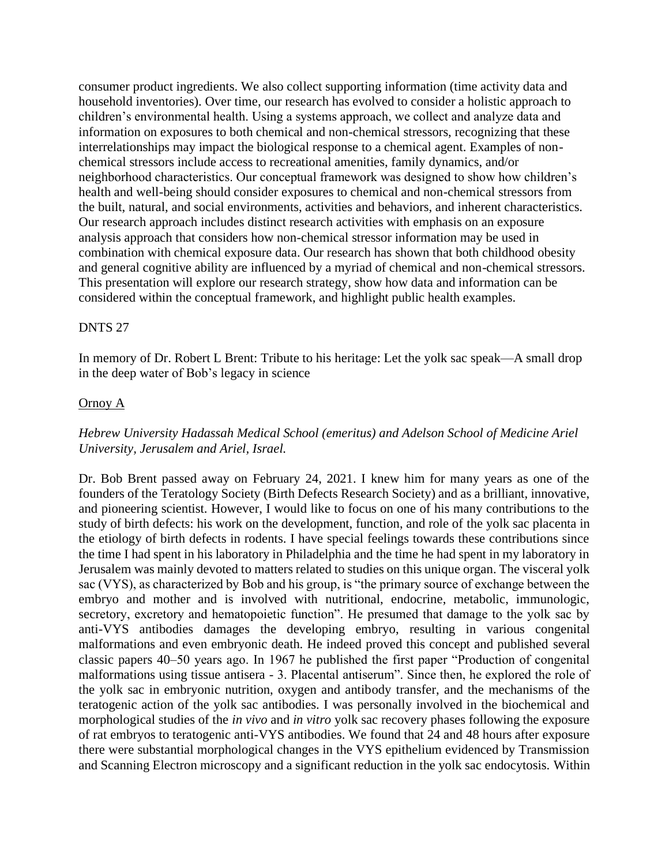consumer product ingredients. We also collect supporting information (time activity data and household inventories). Over time, our research has evolved to consider a holistic approach to children's environmental health. Using a systems approach, we collect and analyze data and information on exposures to both chemical and non-chemical stressors, recognizing that these interrelationships may impact the biological response to a chemical agent. Examples of nonchemical stressors include access to recreational amenities, family dynamics, and/or neighborhood characteristics. Our conceptual framework was designed to show how children's health and well-being should consider exposures to chemical and non-chemical stressors from the built, natural, and social environments, activities and behaviors, and inherent characteristics. Our research approach includes distinct research activities with emphasis on an exposure analysis approach that considers how non-chemical stressor information may be used in combination with chemical exposure data. Our research has shown that both childhood obesity and general cognitive ability are influenced by a myriad of chemical and non-chemical stressors. This presentation will explore our research strategy, show how data and information can be considered within the conceptual framework, and highlight public health examples.

#### DNTS 27

In memory of Dr. Robert L Brent: Tribute to his heritage: Let the yolk sac speak—A small drop in the deep water of Bob's legacy in science

#### Ornoy A

## *Hebrew University Hadassah Medical School (emeritus) and Adelson School of Medicine Ariel University, Jerusalem and Ariel, Israel.*

Dr. Bob Brent passed away on February 24, 2021. I knew him for many years as one of the founders of the Teratology Society (Birth Defects Research Society) and as a brilliant, innovative, and pioneering scientist. However, I would like to focus on one of his many contributions to the study of birth defects: his work on the development, function, and role of the yolk sac placenta in the etiology of birth defects in rodents. I have special feelings towards these contributions since the time I had spent in his laboratory in Philadelphia and the time he had spent in my laboratory in Jerusalem was mainly devoted to matters related to studies on this unique organ. The visceral yolk sac (VYS), as characterized by Bob and his group, is "the primary source of exchange between the embryo and mother and is involved with nutritional, endocrine, metabolic, immunologic, secretory, excretory and hematopoietic function". He presumed that damage to the yolk sac by anti-VYS antibodies damages the developing embryo, resulting in various congenital malformations and even embryonic death. He indeed proved this concept and published several classic papers 40–50 years ago. In 1967 he published the first paper "Production of congenital malformations using tissue antisera - 3. Placental antiserum". Since then, he explored the role of the yolk sac in embryonic nutrition, oxygen and antibody transfer, and the mechanisms of the teratogenic action of the yolk sac antibodies. I was personally involved in the biochemical and morphological studies of the *in vivo* and *in vitro* yolk sac recovery phases following the exposure of rat embryos to teratogenic anti-VYS antibodies. We found that 24 and 48 hours after exposure there were substantial morphological changes in the VYS epithelium evidenced by Transmission and Scanning Electron microscopy and a significant reduction in the yolk sac endocytosis. Within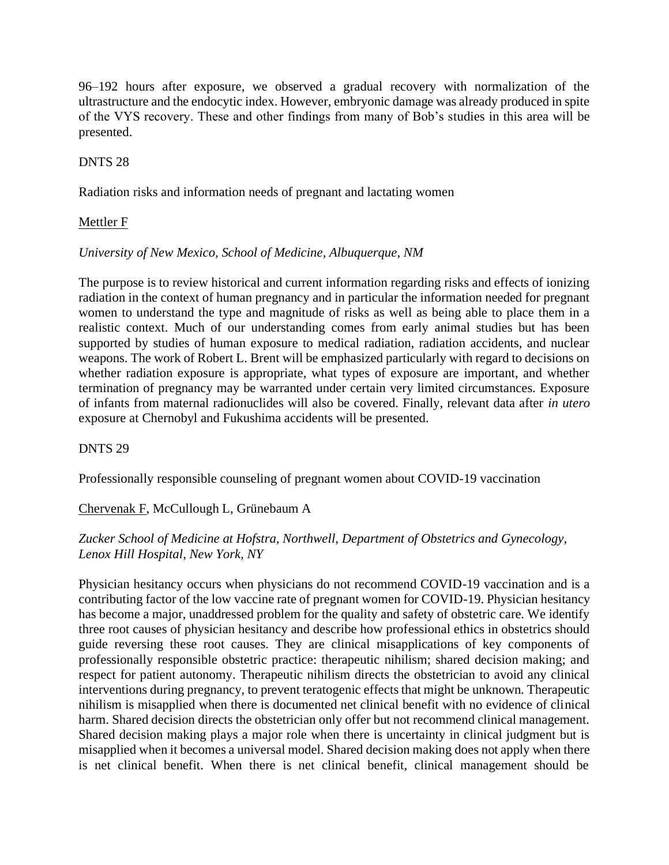96–192 hours after exposure, we observed a gradual recovery with normalization of the ultrastructure and the endocytic index. However, embryonic damage was already produced in spite of the VYS recovery. These and other findings from many of Bob's studies in this area will be presented.

### DNTS 28

Radiation risks and information needs of pregnant and lactating women

### Mettler F

### *University of New Mexico, School of Medicine, Albuquerque, NM*

The purpose is to review historical and current information regarding risks and effects of ionizing radiation in the context of human pregnancy and in particular the information needed for pregnant women to understand the type and magnitude of risks as well as being able to place them in a realistic context. Much of our understanding comes from early animal studies but has been supported by studies of human exposure to medical radiation, radiation accidents, and nuclear weapons. The work of Robert L. Brent will be emphasized particularly with regard to decisions on whether radiation exposure is appropriate, what types of exposure are important, and whether termination of pregnancy may be warranted under certain very limited circumstances. Exposure of infants from maternal radionuclides will also be covered. Finally, relevant data after *in utero* exposure at Chernobyl and Fukushima accidents will be presented.

### DNTS 29

Professionally responsible counseling of pregnant women about COVID-19 vaccination

## Chervenak F, McCullough L, Grünebaum A

## *Zucker School of Medicine at Hofstra, Northwell, Department of Obstetrics and Gynecology, Lenox Hill Hospital, New York, NY*

Physician hesitancy occurs when physicians do not recommend COVID-19 vaccination and is a contributing factor of the low vaccine rate of pregnant women for COVID-19. Physician hesitancy has become a major, unaddressed problem for the quality and safety of obstetric care. We identify three root causes of physician hesitancy and describe how professional ethics in obstetrics should guide reversing these root causes. They are clinical misapplications of key components of professionally responsible obstetric practice: therapeutic nihilism; shared decision making; and respect for patient autonomy. Therapeutic nihilism directs the obstetrician to avoid any clinical interventions during pregnancy, to prevent teratogenic effects that might be unknown. Therapeutic nihilism is misapplied when there is documented net clinical benefit with no evidence of clinical harm. Shared decision directs the obstetrician only offer but not recommend clinical management. Shared decision making plays a major role when there is uncertainty in clinical judgment but is misapplied when it becomes a universal model. Shared decision making does not apply when there is net clinical benefit. When there is net clinical benefit, clinical management should be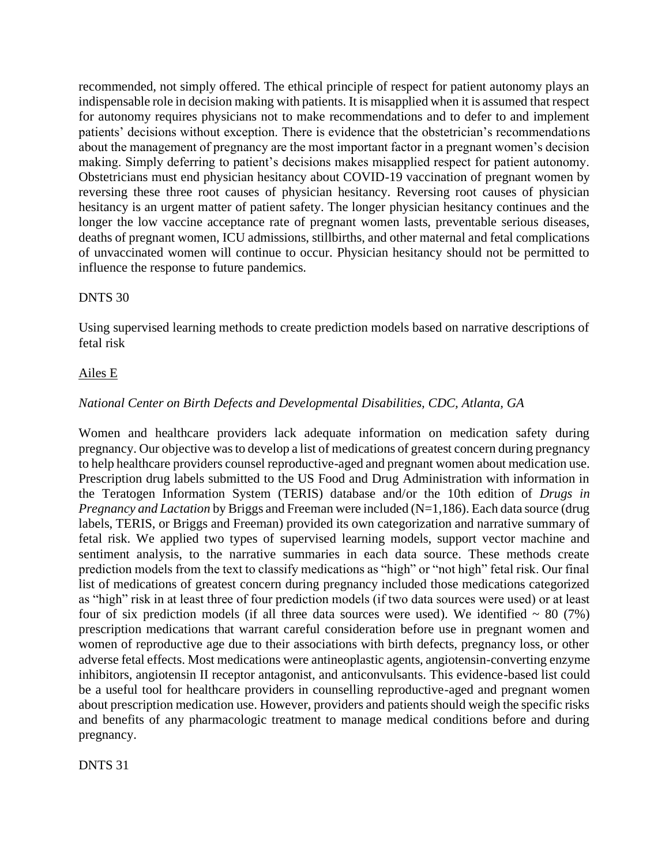recommended, not simply offered. The ethical principle of respect for patient autonomy plays an indispensable role in decision making with patients. It is misapplied when it is assumed that respect for autonomy requires physicians not to make recommendations and to defer to and implement patients' decisions without exception. There is evidence that the obstetrician's recommendations about the management of pregnancy are the most important factor in a pregnant women's decision making. Simply deferring to patient's decisions makes misapplied respect for patient autonomy. Obstetricians must end physician hesitancy about COVID-19 vaccination of pregnant women by reversing these three root causes of physician hesitancy. Reversing root causes of physician hesitancy is an urgent matter of patient safety. The longer physician hesitancy continues and the longer the low vaccine acceptance rate of pregnant women lasts, preventable serious diseases, deaths of pregnant women, ICU admissions, stillbirths, and other maternal and fetal complications of unvaccinated women will continue to occur. Physician hesitancy should not be permitted to influence the response to future pandemics.

### DNTS 30

Using supervised learning methods to create prediction models based on narrative descriptions of fetal risk

#### Ailes E

### *National Center on Birth Defects and Developmental Disabilities, CDC, Atlanta, GA*

Women and healthcare providers lack adequate information on medication safety during pregnancy. Our objective was to develop a list of medications of greatest concern during pregnancy to help healthcare providers counsel reproductive-aged and pregnant women about medication use. Prescription drug labels submitted to the US Food and Drug Administration with information in the Teratogen Information System (TERIS) database and/or the 10th edition of *Drugs in Pregnancy and Lactation* by Briggs and Freeman were included (N=1,186). Each data source (drug labels, TERIS, or Briggs and Freeman) provided its own categorization and narrative summary of fetal risk. We applied two types of supervised learning models, support vector machine and sentiment analysis, to the narrative summaries in each data source. These methods create prediction models from the text to classify medications as "high" or "not high" fetal risk. Our final list of medications of greatest concern during pregnancy included those medications categorized as "high" risk in at least three of four prediction models (if two data sources were used) or at least four of six prediction models (if all three data sources were used). We identified  $\sim 80$  (7%) prescription medications that warrant careful consideration before use in pregnant women and women of reproductive age due to their associations with birth defects, pregnancy loss, or other adverse fetal effects. Most medications were antineoplastic agents, angiotensin-converting enzyme inhibitors, angiotensin II receptor antagonist, and anticonvulsants. This evidence-based list could be a useful tool for healthcare providers in counselling reproductive-aged and pregnant women about prescription medication use. However, providers and patients should weigh the specific risks and benefits of any pharmacologic treatment to manage medical conditions before and during pregnancy.

DNTS 31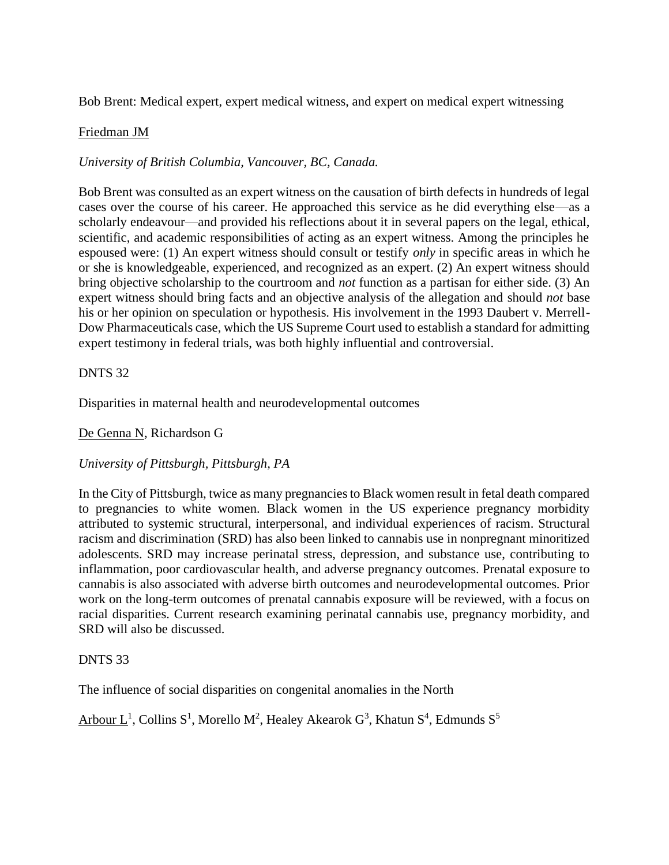Bob Brent: Medical expert, expert medical witness, and expert on medical expert witnessing

### Friedman JM

*University of British Columbia, Vancouver, BC, Canada.* 

Bob Brent was consulted as an expert witness on the causation of birth defects in hundreds of legal cases over the course of his career. He approached this service as he did everything else—as a scholarly endeavour—and provided his reflections about it in several papers on the legal, ethical, scientific, and academic responsibilities of acting as an expert witness. Among the principles he espoused were: (1) An expert witness should consult or testify *only* in specific areas in which he or she is knowledgeable, experienced, and recognized as an expert. (2) An expert witness should bring objective scholarship to the courtroom and *not* function as a partisan for either side. (3) An expert witness should bring facts and an objective analysis of the allegation and should *not* base his or her opinion on speculation or hypothesis. His involvement in the 1993 Daubert v. Merrell-Dow Pharmaceuticals case, which the US Supreme Court used to establish a standard for admitting expert testimony in federal trials, was both highly influential and controversial.

### DNTS 32

Disparities in maternal health and neurodevelopmental outcomes

De Genna N, Richardson G

### *University of Pittsburgh, Pittsburgh, PA*

In the City of Pittsburgh, twice as many pregnancies to Black women result in fetal death compared to pregnancies to white women. Black women in the US experience pregnancy morbidity attributed to systemic structural, interpersonal, and individual experiences of racism. Structural racism and discrimination (SRD) has also been linked to cannabis use in nonpregnant minoritized adolescents. SRD may increase perinatal stress, depression, and substance use, contributing to inflammation, poor cardiovascular health, and adverse pregnancy outcomes. Prenatal exposure to cannabis is also associated with adverse birth outcomes and neurodevelopmental outcomes. Prior work on the long-term outcomes of prenatal cannabis exposure will be reviewed, with a focus on racial disparities. Current research examining perinatal cannabis use, pregnancy morbidity, and SRD will also be discussed.

### DNTS 33

The influence of social disparities on congenital anomalies in the North

Arbour L<sup>1</sup>, Collins S<sup>1</sup>, Morello M<sup>2</sup>, Healey Akearok G<sup>3</sup>, Khatun S<sup>4</sup>, Edmunds S<sup>5</sup>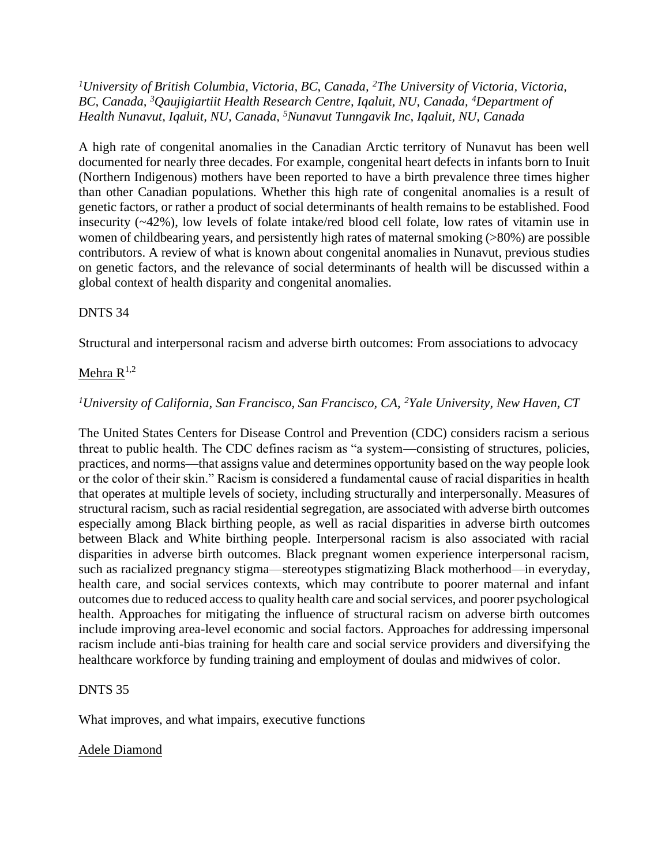*<sup>1</sup>University of British Columbia, Victoria, BC, Canada, <sup>2</sup>The University of Victoria, Victoria, BC, Canada, <sup>3</sup>Qaujigiartiit Health Research Centre, Iqaluit, NU, Canada, <sup>4</sup>Department of Health Nunavut, Iqaluit, NU, Canada, <sup>5</sup>Nunavut Tunngavik Inc, Iqaluit, NU, Canada* 

A high rate of congenital anomalies in the Canadian Arctic territory of Nunavut has been well documented for nearly three decades. For example, congenital heart defects in infants born to Inuit (Northern Indigenous) mothers have been reported to have a birth prevalence three times higher than other Canadian populations. Whether this high rate of congenital anomalies is a result of genetic factors, or rather a product of social determinants of health remains to be established. Food insecurity (~42%), low levels of folate intake/red blood cell folate, low rates of vitamin use in women of childbearing years, and persistently high rates of maternal smoking (>80%) are possible contributors. A review of what is known about congenital anomalies in Nunavut, previous studies on genetic factors, and the relevance of social determinants of health will be discussed within a global context of health disparity and congenital anomalies.

### DNTS 34

Structural and interpersonal racism and adverse birth outcomes: From associations to advocacy

### Mehra  $R^{1,2}$

### *<sup>1</sup>University of California, San Francisco, San Francisco, CA, <sup>2</sup>Yale University, New Haven, CT*

The United States Centers for Disease Control and Prevention (CDC) considers racism a serious threat to public health. The CDC defines racism as "a system—consisting of structures, policies, practices, and norms—that assigns value and determines opportunity based on the way people look or the color of their skin." Racism is considered a fundamental cause of racial disparities in health that operates at multiple levels of society, including structurally and interpersonally. Measures of structural racism, such as racial residential segregation, are associated with adverse birth outcomes especially among Black birthing people, as well as racial disparities in adverse birth outcomes between Black and White birthing people. Interpersonal racism is also associated with racial disparities in adverse birth outcomes. Black pregnant women experience interpersonal racism, such as racialized pregnancy stigma—stereotypes stigmatizing Black motherhood—in everyday, health care, and social services contexts, which may contribute to poorer maternal and infant outcomes due to reduced access to quality health care and social services, and poorer psychological health. Approaches for mitigating the influence of structural racism on adverse birth outcomes include improving area-level economic and social factors. Approaches for addressing impersonal racism include anti-bias training for health care and social service providers and diversifying the healthcare workforce by funding training and employment of doulas and midwives of color.

### DNTS 35

What improves, and what impairs, executive functions

### Adele Diamond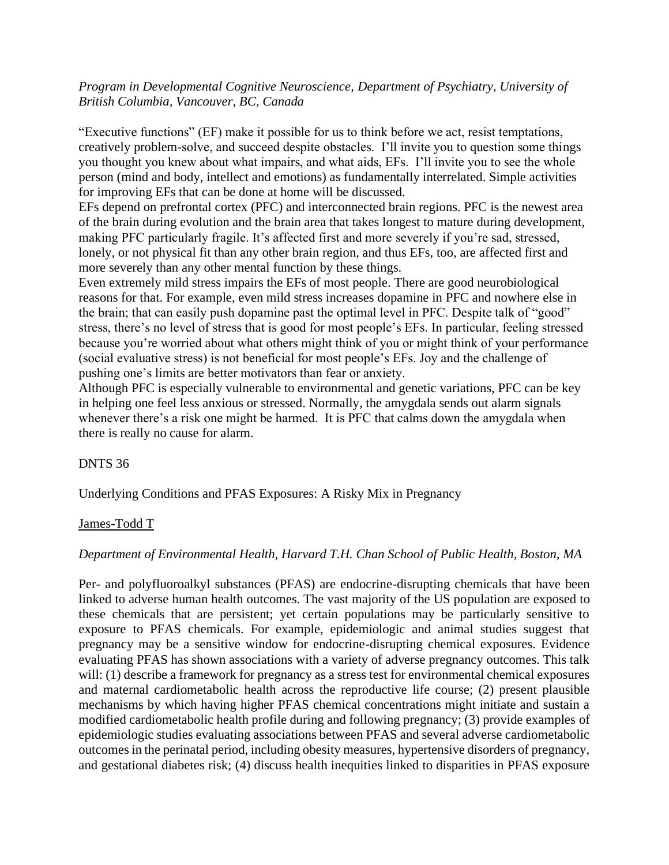*Program in Developmental Cognitive Neuroscience, Department of Psychiatry, University of British Columbia, Vancouver, BC, Canada*

"Executive functions" (EF) make it possible for us to think before we act, resist temptations, creatively problem-solve, and succeed despite obstacles. I'll invite you to question some things you thought you knew about what impairs, and what aids, EFs. I'll invite you to see the whole person (mind and body, intellect and emotions) as fundamentally interrelated. Simple activities for improving EFs that can be done at home will be discussed.

EFs depend on prefrontal cortex (PFC) and interconnected brain regions. PFC is the newest area of the brain during evolution and the brain area that takes longest to mature during development, making PFC particularly fragile. It's affected first and more severely if you're sad, stressed, lonely, or not physical fit than any other brain region, and thus EFs, too, are affected first and more severely than any other mental function by these things.

Even extremely mild stress impairs the EFs of most people. There are good neurobiological reasons for that. For example, even mild stress increases dopamine in PFC and nowhere else in the brain; that can easily push dopamine past the optimal level in PFC. Despite talk of "good" stress, there's no level of stress that is good for most people's EFs. In particular, feeling stressed because you're worried about what others might think of you or might think of your performance (social evaluative stress) is not beneficial for most people's EFs. Joy and the challenge of pushing one's limits are better motivators than fear or anxiety.

Although PFC is especially vulnerable to environmental and genetic variations, PFC can be key in helping one feel less anxious or stressed. Normally, the amygdala sends out alarm signals whenever there's a risk one might be harmed. It is PFC that calms down the amygdala when there is really no cause for alarm.

### DNTS 36

Underlying Conditions and PFAS Exposures: A Risky Mix in Pregnancy

### James-Todd T

### *Department of Environmental Health, Harvard T.H. Chan School of Public Health, Boston, MA*

Per- and polyfluoroalkyl substances (PFAS) are endocrine-disrupting chemicals that have been linked to adverse human health outcomes. The vast majority of the US population are exposed to these chemicals that are persistent; yet certain populations may be particularly sensitive to exposure to PFAS chemicals. For example, epidemiologic and animal studies suggest that pregnancy may be a sensitive window for endocrine-disrupting chemical exposures. Evidence evaluating PFAS has shown associations with a variety of adverse pregnancy outcomes. This talk will: (1) describe a framework for pregnancy as a stress test for environmental chemical exposures and maternal cardiometabolic health across the reproductive life course; (2) present plausible mechanisms by which having higher PFAS chemical concentrations might initiate and sustain a modified cardiometabolic health profile during and following pregnancy; (3) provide examples of epidemiologic studies evaluating associations between PFAS and several adverse cardiometabolic outcomes in the perinatal period, including obesity measures, hypertensive disorders of pregnancy, and gestational diabetes risk; (4) discuss health inequities linked to disparities in PFAS exposure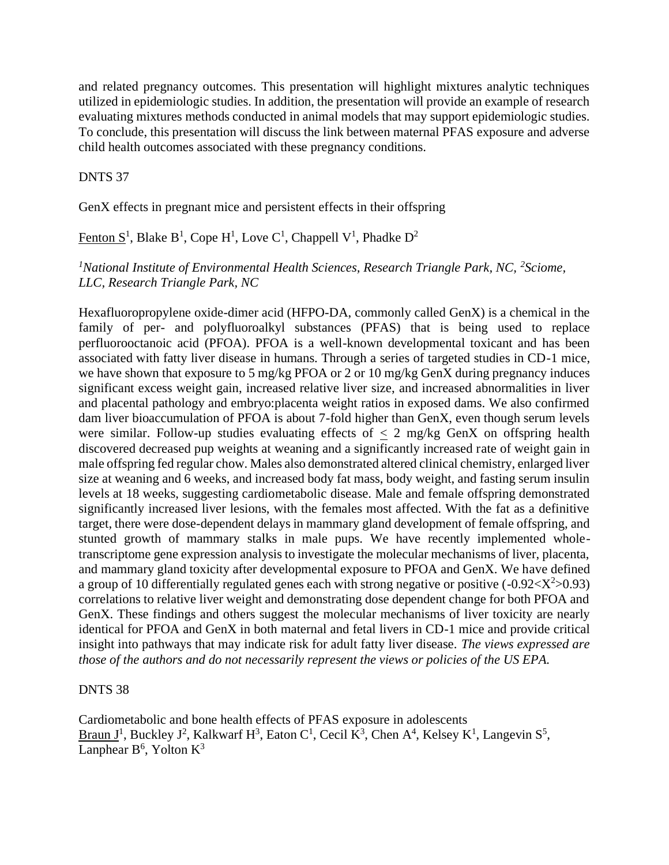and related pregnancy outcomes. This presentation will highlight mixtures analytic techniques utilized in epidemiologic studies. In addition, the presentation will provide an example of research evaluating mixtures methods conducted in animal models that may support epidemiologic studies. To conclude, this presentation will discuss the link between maternal PFAS exposure and adverse child health outcomes associated with these pregnancy conditions.

#### DNTS 37

GenX effects in pregnant mice and persistent effects in their offspring

### Fenton  $S^1$ , Blake B<sup>1</sup>, Cope H<sup>1</sup>, Love C<sup>1</sup>, Chappell V<sup>1</sup>, Phadke D<sup>2</sup>

### <sup>1</sup>*National Institute of Environmental Health Sciences, Research Triangle Park, NC, <sup>2</sup><i>Sciome, LLC, Research Triangle Park, NC*

Hexafluoropropylene oxide-dimer acid (HFPO-DA, commonly called GenX) is a chemical in the family of per- and polyfluoroalkyl substances (PFAS) that is being used to replace perfluorooctanoic acid (PFOA). PFOA is a well-known developmental toxicant and has been associated with fatty liver disease in humans. Through a series of targeted studies in CD-1 mice, we have shown that exposure to 5 mg/kg PFOA or 2 or 10 mg/kg GenX during pregnancy induces significant excess weight gain, increased relative liver size, and increased abnormalities in liver and placental pathology and embryo:placenta weight ratios in exposed dams. We also confirmed dam liver bioaccumulation of PFOA is about 7-fold higher than GenX, even though serum levels were similar. Follow-up studies evaluating effects of  $\langle 2 \rangle$  mg/kg GenX on offspring health discovered decreased pup weights at weaning and a significantly increased rate of weight gain in male offspring fed regular chow. Males also demonstrated altered clinical chemistry, enlarged liver size at weaning and 6 weeks, and increased body fat mass, body weight, and fasting serum insulin levels at 18 weeks, suggesting cardiometabolic disease. Male and female offspring demonstrated significantly increased liver lesions, with the females most affected. With the fat as a definitive target, there were dose-dependent delays in mammary gland development of female offspring, and stunted growth of mammary stalks in male pups. We have recently implemented wholetranscriptome gene expression analysis to investigate the molecular mechanisms of liver, placenta, and mammary gland toxicity after developmental exposure to PFOA and GenX. We have defined a group of 10 differentially regulated genes each with strong negative or positive  $(-0.92 < X^2 > 0.93)$ correlations to relative liver weight and demonstrating dose dependent change for both PFOA and GenX. These findings and others suggest the molecular mechanisms of liver toxicity are nearly identical for PFOA and GenX in both maternal and fetal livers in CD-1 mice and provide critical insight into pathways that may indicate risk for adult fatty liver disease. *The views expressed are those of the authors and do not necessarily represent the views or policies of the US EPA.*

#### DNTS 38

Cardiometabolic and bone health effects of PFAS exposure in adolescents Braun J<sup>1</sup>, Buckley J<sup>2</sup>, Kalkwarf H<sup>3</sup>, Eaton C<sup>1</sup>, Cecil K<sup>3</sup>, Chen A<sup>4</sup>, Kelsey K<sup>1</sup>, Langevin S<sup>5</sup>, Lanphear  $B^6$ , Yolton  $K^3$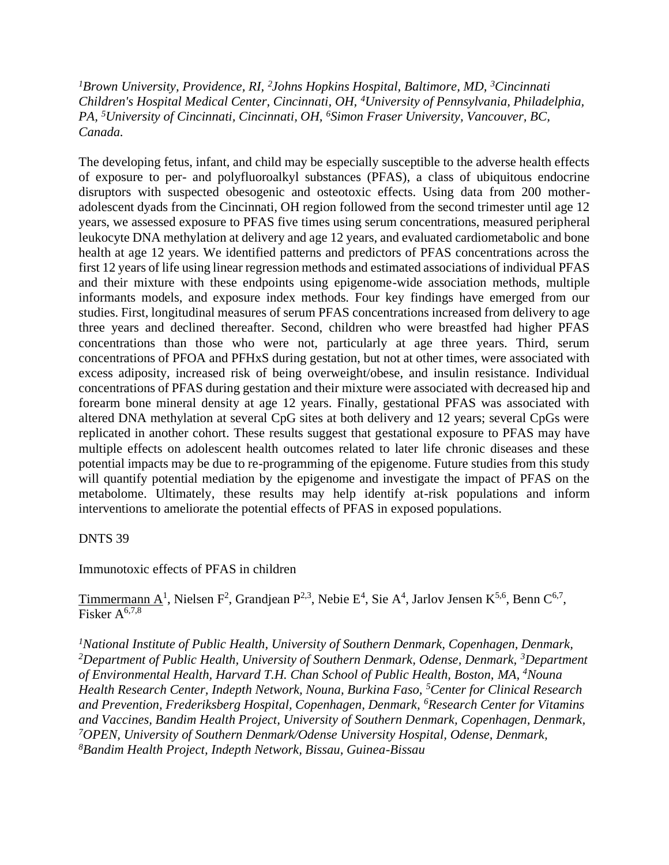<sup>1</sup>Brown University, Providence, RI, <sup>2</sup>Johns Hopkins Hospital, Baltimore, MD, <sup>3</sup>Cincinnati *Children's Hospital Medical Center, Cincinnati, OH, <sup>4</sup>University of Pennsylvania, Philadelphia, PA, <sup>5</sup>University of Cincinnati, Cincinnati, OH, <sup>6</sup>Simon Fraser University, Vancouver, BC, Canada.*

The developing fetus, infant, and child may be especially susceptible to the adverse health effects of exposure to per- and polyfluoroalkyl substances (PFAS), a class of ubiquitous endocrine disruptors with suspected obesogenic and osteotoxic effects. Using data from 200 motheradolescent dyads from the Cincinnati, OH region followed from the second trimester until age 12 years, we assessed exposure to PFAS five times using serum concentrations, measured peripheral leukocyte DNA methylation at delivery and age 12 years, and evaluated cardiometabolic and bone health at age 12 years. We identified patterns and predictors of PFAS concentrations across the first 12 years of life using linear regression methods and estimated associations of individual PFAS and their mixture with these endpoints using epigenome-wide association methods, multiple informants models, and exposure index methods. Four key findings have emerged from our studies. First, longitudinal measures of serum PFAS concentrations increased from delivery to age three years and declined thereafter. Second, children who were breastfed had higher PFAS concentrations than those who were not, particularly at age three years. Third, serum concentrations of PFOA and PFHxS during gestation, but not at other times, were associated with excess adiposity, increased risk of being overweight/obese, and insulin resistance. Individual concentrations of PFAS during gestation and their mixture were associated with decreased hip and forearm bone mineral density at age 12 years. Finally, gestational PFAS was associated with altered DNA methylation at several CpG sites at both delivery and 12 years; several CpGs were replicated in another cohort. These results suggest that gestational exposure to PFAS may have multiple effects on adolescent health outcomes related to later life chronic diseases and these potential impacts may be due to re-programming of the epigenome. Future studies from this study will quantify potential mediation by the epigenome and investigate the impact of PFAS on the metabolome. Ultimately, these results may help identify at-risk populations and inform interventions to ameliorate the potential effects of PFAS in exposed populations.

### DNTS 39

Immunotoxic effects of PFAS in children

Timmermann  $A^1$ , Nielsen F<sup>2</sup>, Grandjean P<sup>2,3</sup>, Nebie E<sup>4</sup>, Sie A<sup>4</sup>, Jarlov Jensen K<sup>5,6</sup>, Benn C<sup>6,7</sup>, Fisker  $A^{6,7,8}$ 

*<sup>1</sup>National Institute of Public Health, University of Southern Denmark, Copenhagen, Denmark, <sup>2</sup>Department of Public Health, University of Southern Denmark, Odense, Denmark, <sup>3</sup>Department of Environmental Health, Harvard T.H. Chan School of Public Health, Boston, MA, <sup>4</sup>Nouna Health Research Center, Indepth Network, Nouna, Burkina Faso, <sup>5</sup>Center for Clinical Research and Prevention, Frederiksberg Hospital, Copenhagen, Denmark, <sup>6</sup>Research Center for Vitamins and Vaccines, Bandim Health Project, University of Southern Denmark, Copenhagen, Denmark, <sup>7</sup>OPEN, University of Southern Denmark/Odense University Hospital, Odense, Denmark, 8Bandim Health Project, Indepth Network, Bissau, Guinea-Bissau*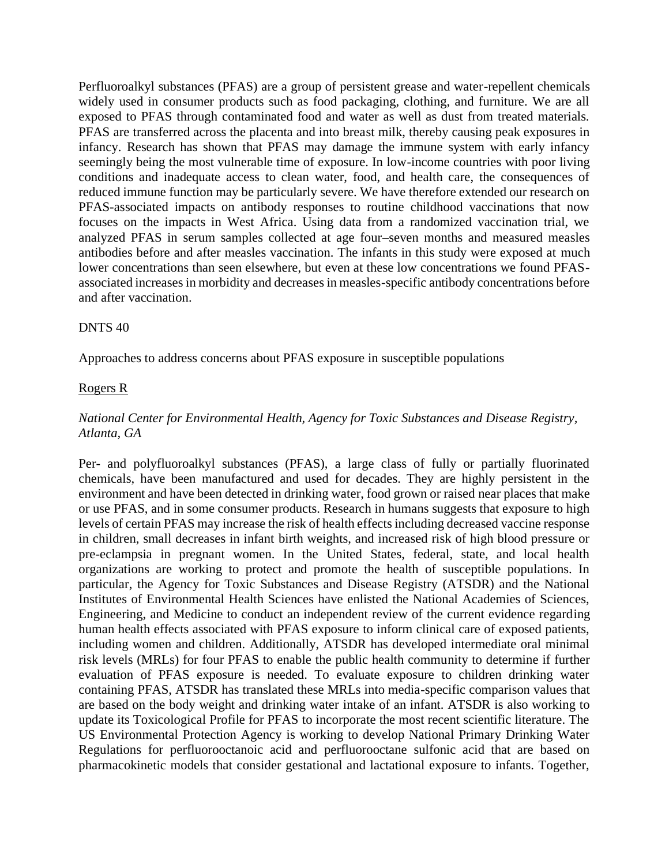Perfluoroalkyl substances (PFAS) are a group of persistent grease and water-repellent chemicals widely used in consumer products such as food packaging, clothing, and furniture. We are all exposed to PFAS through contaminated food and water as well as dust from treated materials. PFAS are transferred across the placenta and into breast milk, thereby causing peak exposures in infancy. Research has shown that PFAS may damage the immune system with early infancy seemingly being the most vulnerable time of exposure. In low-income countries with poor living conditions and inadequate access to clean water, food, and health care, the consequences of reduced immune function may be particularly severe. We have therefore extended our research on PFAS-associated impacts on antibody responses to routine childhood vaccinations that now focuses on the impacts in West Africa. Using data from a randomized vaccination trial, we analyzed PFAS in serum samples collected at age four–seven months and measured measles antibodies before and after measles vaccination. The infants in this study were exposed at much lower concentrations than seen elsewhere, but even at these low concentrations we found PFASassociated increases in morbidity and decreases in measles-specific antibody concentrations before and after vaccination.

#### DNTS 40

Approaches to address concerns about PFAS exposure in susceptible populations

#### Rogers R

## *National Center for Environmental Health, Agency for Toxic Substances and Disease Registry, Atlanta, GA*

Per- and polyfluoroalkyl substances (PFAS), a large class of fully or partially fluorinated chemicals, have been manufactured and used for decades. They are highly persistent in the environment and have been detected in drinking water, food grown or raised near places that make or use PFAS, and in some consumer products. Research in humans suggests that exposure to high levels of certain PFAS may increase the risk of health effects including decreased vaccine response in children, small decreases in infant birth weights, and increased risk of high blood pressure or pre-eclampsia in pregnant women. In the United States, federal, state, and local health organizations are working to protect and promote the health of susceptible populations. In particular, the Agency for Toxic Substances and Disease Registry (ATSDR) and the National Institutes of Environmental Health Sciences have enlisted the National Academies of Sciences, Engineering, and Medicine to conduct an independent review of the current evidence regarding human health effects associated with PFAS exposure to inform clinical care of exposed patients, including women and children. Additionally, ATSDR has developed intermediate oral minimal risk levels (MRLs) for four PFAS to enable the public health community to determine if further evaluation of PFAS exposure is needed. To evaluate exposure to children drinking water containing PFAS, ATSDR has translated these MRLs into media-specific comparison values that are based on the body weight and drinking water intake of an infant. ATSDR is also working to update its Toxicological Profile for PFAS to incorporate the most recent scientific literature. The US Environmental Protection Agency is working to develop National Primary Drinking Water Regulations for perfluorooctanoic acid and perfluorooctane sulfonic acid that are based on pharmacokinetic models that consider gestational and lactational exposure to infants. Together,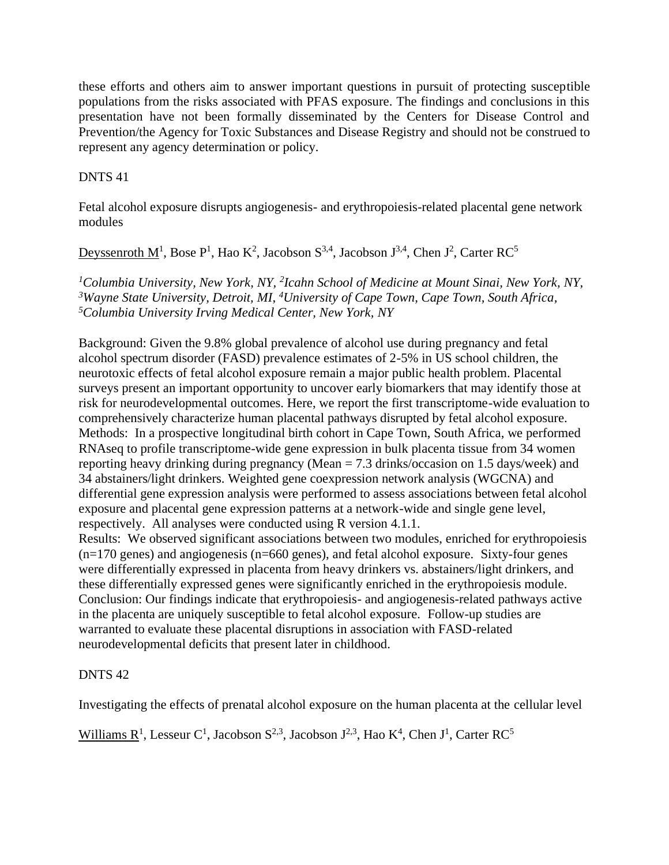these efforts and others aim to answer important questions in pursuit of protecting susceptible populations from the risks associated with PFAS exposure. The findings and conclusions in this presentation have not been formally disseminated by the Centers for Disease Control and Prevention/the Agency for Toxic Substances and Disease Registry and should not be construed to represent any agency determination or policy.

## DNTS 41

Fetal alcohol exposure disrupts angiogenesis- and erythropoiesis-related placental gene network modules

<u>Deyssenroth M<sup>1</sup></u>, Bose P<sup>1</sup>, Hao K<sup>2</sup>, Jacobson S<sup>3,4</sup>, Jacobson J<sup>3,4</sup>, Chen J<sup>2</sup>, Carter RC<sup>5</sup>

*<sup>1</sup>Columbia University, New York, NY, <sup>2</sup> Icahn School of Medicine at Mount Sinai, New York, NY, <sup>3</sup>Wayne State University, Detroit, MI, <sup>4</sup>University of Cape Town, Cape Town, South Africa, <sup>5</sup>Columbia University Irving Medical Center, New York, NY*

Background: Given the 9.8% global prevalence of alcohol use during pregnancy and fetal alcohol spectrum disorder (FASD) prevalence estimates of 2-5% in US school children, the neurotoxic effects of fetal alcohol exposure remain a major public health problem. Placental surveys present an important opportunity to uncover early biomarkers that may identify those at risk for neurodevelopmental outcomes. Here, we report the first transcriptome-wide evaluation to comprehensively characterize human placental pathways disrupted by fetal alcohol exposure. Methods: In a prospective longitudinal birth cohort in Cape Town, South Africa, we performed RNAseq to profile transcriptome-wide gene expression in bulk placenta tissue from 34 women reporting heavy drinking during pregnancy (Mean = 7.3 drinks/occasion on 1.5 days/week) and 34 abstainers/light drinkers. Weighted gene coexpression network analysis (WGCNA) and differential gene expression analysis were performed to assess associations between fetal alcohol exposure and placental gene expression patterns at a network-wide and single gene level, respectively. All analyses were conducted using R version 4.1.1.

Results: We observed significant associations between two modules, enriched for erythropoiesis  $(n=170 \text{ genes})$  and angiogenesis  $(n=660 \text{ genes})$ , and fetal alcohol exposure. Sixty-four genes were differentially expressed in placenta from heavy drinkers vs. abstainers/light drinkers, and these differentially expressed genes were significantly enriched in the erythropoiesis module. Conclusion: Our findings indicate that erythropoiesis- and angiogenesis-related pathways active in the placenta are uniquely susceptible to fetal alcohol exposure. Follow-up studies are warranted to evaluate these placental disruptions in association with FASD-related neurodevelopmental deficits that present later in childhood.

## DNTS 42

Investigating the effects of prenatal alcohol exposure on the human placenta at the cellular level

Williams  $R^1$ , Lesseur C<sup>1</sup>, Jacobson S<sup>2,3</sup>, Jacobson J<sup>2,3</sup>, Hao K<sup>4</sup>, Chen J<sup>1</sup>, Carter RC<sup>5</sup>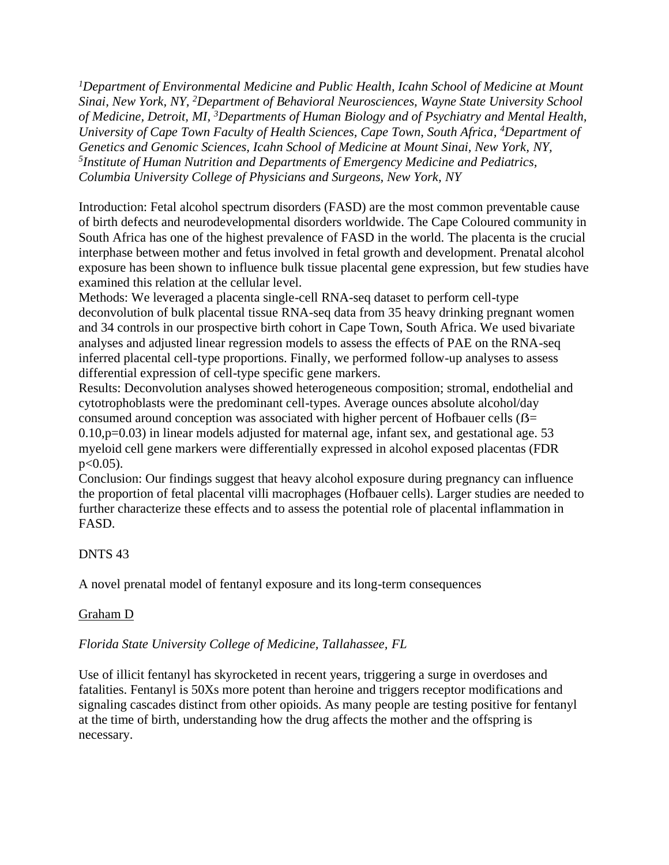*<sup>1</sup>Department of Environmental Medicine and Public Health, Icahn School of Medicine at Mount Sinai, New York, NY, <sup>2</sup>Department of Behavioral Neurosciences, Wayne State University School of Medicine, Detroit, MI, <sup>3</sup>Departments of Human Biology and of Psychiatry and Mental Health, University of Cape Town Faculty of Health Sciences, Cape Town, South Africa, <sup>4</sup>Department of Genetics and Genomic Sciences, Icahn School of Medicine at Mount Sinai, New York, NY, 5 Institute of Human Nutrition and Departments of Emergency Medicine and Pediatrics, Columbia University College of Physicians and Surgeons, New York, NY*

Introduction: Fetal alcohol spectrum disorders (FASD) are the most common preventable cause of birth defects and neurodevelopmental disorders worldwide. The Cape Coloured community in South Africa has one of the highest prevalence of FASD in the world. The placenta is the crucial interphase between mother and fetus involved in fetal growth and development. Prenatal alcohol exposure has been shown to influence bulk tissue placental gene expression, but few studies have examined this relation at the cellular level.

Methods: We leveraged a placenta single-cell RNA-seq dataset to perform cell-type deconvolution of bulk placental tissue RNA-seq data from 35 heavy drinking pregnant women and 34 controls in our prospective birth cohort in Cape Town, South Africa. We used bivariate analyses and adjusted linear regression models to assess the effects of PAE on the RNA-seq inferred placental cell-type proportions. Finally, we performed follow-up analyses to assess differential expression of cell-type specific gene markers.

Results: Deconvolution analyses showed heterogeneous composition; stromal, endothelial and cytotrophoblasts were the predominant cell-types. Average ounces absolute alcohol/day consumed around conception was associated with higher percent of Hofbauer cells ( $\beta$ =  $0.10,p=0.03$ ) in linear models adjusted for maternal age, infant sex, and gestational age. 53 myeloid cell gene markers were differentially expressed in alcohol exposed placentas (FDR  $p < 0.05$ ).

Conclusion: Our findings suggest that heavy alcohol exposure during pregnancy can influence the proportion of fetal placental villi macrophages (Hofbauer cells). Larger studies are needed to further characterize these effects and to assess the potential role of placental inflammation in FASD.

## DNTS 43

A novel prenatal model of fentanyl exposure and its long-term consequences

# Graham D

## *Florida State University College of Medicine, Tallahassee, FL*

Use of illicit fentanyl has skyrocketed in recent years, triggering a surge in overdoses and fatalities. Fentanyl is 50Xs more potent than heroine and triggers receptor modifications and signaling cascades distinct from other opioids. As many people are testing positive for fentanyl at the time of birth, understanding how the drug affects the mother and the offspring is necessary.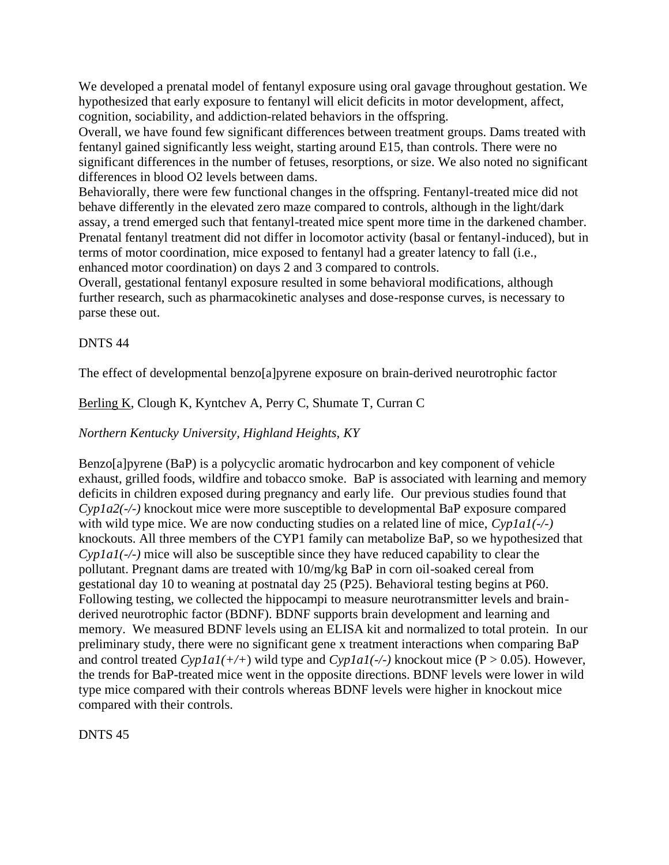We developed a prenatal model of fentanyl exposure using oral gavage throughout gestation. We hypothesized that early exposure to fentanyl will elicit deficits in motor development, affect, cognition, sociability, and addiction-related behaviors in the offspring.

Overall, we have found few significant differences between treatment groups. Dams treated with fentanyl gained significantly less weight, starting around E15, than controls. There were no significant differences in the number of fetuses, resorptions, or size. We also noted no significant differences in blood O2 levels between dams.

Behaviorally, there were few functional changes in the offspring. Fentanyl-treated mice did not behave differently in the elevated zero maze compared to controls, although in the light/dark assay, a trend emerged such that fentanyl-treated mice spent more time in the darkened chamber. Prenatal fentanyl treatment did not differ in locomotor activity (basal or fentanyl-induced), but in terms of motor coordination, mice exposed to fentanyl had a greater latency to fall (i.e., enhanced motor coordination) on days 2 and 3 compared to controls.

Overall, gestational fentanyl exposure resulted in some behavioral modifications, although further research, such as pharmacokinetic analyses and dose-response curves, is necessary to parse these out.

### DNTS 44

The effect of developmental benzo[a]pyrene exposure on brain-derived neurotrophic factor

## Berling K, Clough K, Kyntchev A, Perry C, Shumate T, Curran C

### *Northern Kentucky University, Highland Heights, KY*

Benzo[a]pyrene (BaP) is a polycyclic aromatic hydrocarbon and key component of vehicle exhaust, grilled foods, wildfire and tobacco smoke. BaP is associated with learning and memory deficits in children exposed during pregnancy and early life. Our previous studies found that *Cyp1a2(-/-)* knockout mice were more susceptible to developmental BaP exposure compared with wild type mice. We are now conducting studies on a related line of mice, *Cyp1a1(-/-)* knockouts. All three members of the CYP1 family can metabolize BaP, so we hypothesized that *Cyp1a1(-/-)* mice will also be susceptible since they have reduced capability to clear the pollutant. Pregnant dams are treated with 10/mg/kg BaP in corn oil-soaked cereal from gestational day 10 to weaning at postnatal day 25 (P25). Behavioral testing begins at P60. Following testing, we collected the hippocampi to measure neurotransmitter levels and brainderived neurotrophic factor (BDNF). BDNF supports brain development and learning and memory. We measured BDNF levels using an ELISA kit and normalized to total protein. In our preliminary study, there were no significant gene x treatment interactions when comparing BaP and control treated  $Cyp1a1(+/+)$  wild type and  $Cyp1a1(+/+)$  knockout mice (P > 0.05). However, the trends for BaP-treated mice went in the opposite directions. BDNF levels were lower in wild type mice compared with their controls whereas BDNF levels were higher in knockout mice compared with their controls.

DNTS 45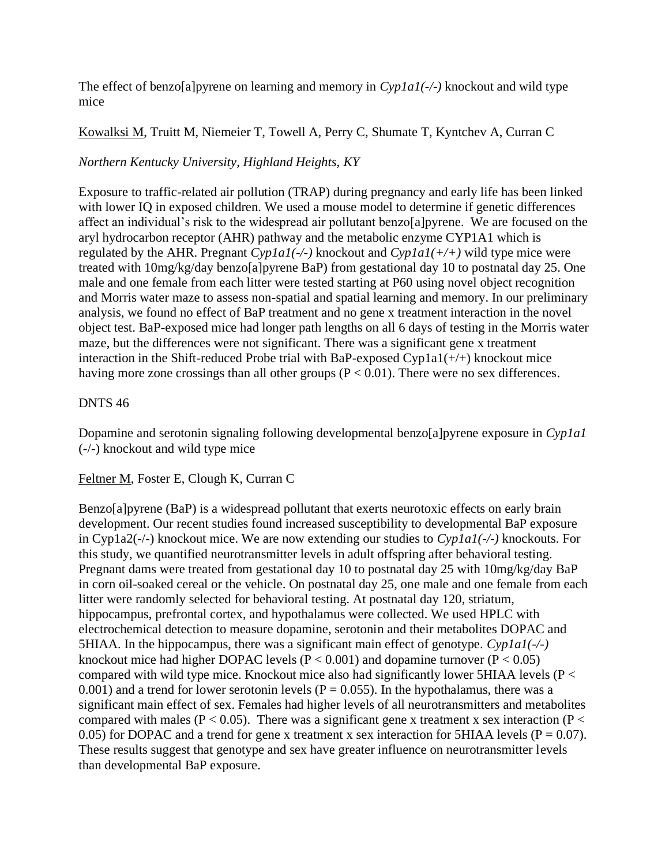The effect of benzo[a]pyrene on learning and memory in *Cyp1a1(-/-)* knockout and wild type mice

Kowalksi M, Truitt M, Niemeier T, Towell A, Perry C, Shumate T, Kyntchev A, Curran C

# *Northern Kentucky University, Highland Heights, KY*

Exposure to traffic-related air pollution (TRAP) during pregnancy and early life has been linked with lower IQ in exposed children. We used a mouse model to determine if genetic differences affect an individual's risk to the widespread air pollutant benzo[a]pyrene. We are focused on the aryl hydrocarbon receptor (AHR) pathway and the metabolic enzyme CYP1A1 which is regulated by the AHR. Pregnant *Cyp1a1(-/-)* knockout and *Cyp1a1(+/+)* wild type mice were treated with 10mg/kg/day benzo[a]pyrene BaP) from gestational day 10 to postnatal day 25. One male and one female from each litter were tested starting at P60 using novel object recognition and Morris water maze to assess non-spatial and spatial learning and memory. In our preliminary analysis, we found no effect of BaP treatment and no gene x treatment interaction in the novel object test. BaP-exposed mice had longer path lengths on all 6 days of testing in the Morris water maze, but the differences were not significant. There was a significant gene x treatment interaction in the Shift-reduced Probe trial with BaP-exposed Cyp1a1(+/+) knockout mice having more zone crossings than all other groups ( $P < 0.01$ ). There were no sex differences.

# DNTS 46

Dopamine and serotonin signaling following developmental benzo[a]pyrene exposure in *Cyp1a1* (-/-) knockout and wild type mice

# Feltner M, Foster E, Clough K, Curran C

Benzo[a]pyrene (BaP) is a widespread pollutant that exerts neurotoxic effects on early brain development. Our recent studies found increased susceptibility to developmental BaP exposure in Cyp1a2(-/-) knockout mice. We are now extending our studies to *Cyp1a1(-/-)* knockouts. For this study, we quantified neurotransmitter levels in adult offspring after behavioral testing. Pregnant dams were treated from gestational day 10 to postnatal day 25 with 10mg/kg/day BaP in corn oil-soaked cereal or the vehicle. On postnatal day 25, one male and one female from each litter were randomly selected for behavioral testing. At postnatal day 120, striatum, hippocampus, prefrontal cortex, and hypothalamus were collected. We used HPLC with electrochemical detection to measure dopamine, serotonin and their metabolites DOPAC and 5HIAA. In the hippocampus, there was a significant main effect of genotype. *Cyp1a1(-/-)* knockout mice had higher DOPAC levels ( $P < 0.001$ ) and dopamine turnover ( $P < 0.05$ ) compared with wild type mice. Knockout mice also had significantly lower 5HIAA levels ( $P <$ 0.001) and a trend for lower serotonin levels ( $P = 0.055$ ). In the hypothalamus, there was a significant main effect of sex. Females had higher levels of all neurotransmitters and metabolites compared with males ( $P < 0.05$ ). There was a significant gene x treatment x sex interaction ( $P <$ 0.05) for DOPAC and a trend for gene x treatment x sex interaction for 5HIAA levels ( $P = 0.07$ ). These results suggest that genotype and sex have greater influence on neurotransmitter levels than developmental BaP exposure.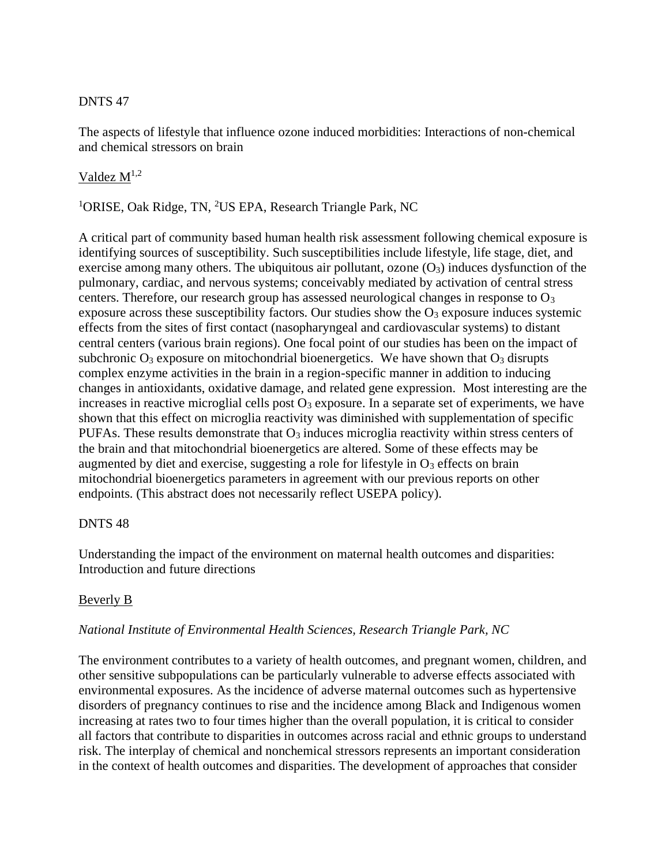## DNTS 47

The aspects of lifestyle that influence ozone induced morbidities: Interactions of non-chemical and chemical stressors on brain

## Valdez  $M^{1,2}$

<sup>1</sup>ORISE, Oak Ridge, TN, <sup>2</sup>US EPA, Research Triangle Park, NC

A critical part of community based human health risk assessment following chemical exposure is identifying sources of susceptibility. Such susceptibilities include lifestyle, life stage, diet, and exercise among many others. The ubiquitous air pollutant, ozone  $(O_3)$  induces dysfunction of the pulmonary, cardiac, and nervous systems; conceivably mediated by activation of central stress centers. Therefore, our research group has assessed neurological changes in response to  $O<sub>3</sub>$ exposure across these susceptibility factors. Our studies show the  $O_3$  exposure induces systemic effects from the sites of first contact (nasopharyngeal and cardiovascular systems) to distant central centers (various brain regions). One focal point of our studies has been on the impact of subchronic  $O_3$  exposure on mitochondrial bioenergetics. We have shown that  $O_3$  disrupts complex enzyme activities in the brain in a region-specific manner in addition to inducing changes in antioxidants, oxidative damage, and related gene expression. Most interesting are the increases in reactive microglial cells post  $O_3$  exposure. In a separate set of experiments, we have shown that this effect on microglia reactivity was diminished with supplementation of specific PUFAs. These results demonstrate that  $O_3$  induces microglia reactivity within stress centers of the brain and that mitochondrial bioenergetics are altered. Some of these effects may be augmented by diet and exercise, suggesting a role for lifestyle in  $O_3$  effects on brain mitochondrial bioenergetics parameters in agreement with our previous reports on other endpoints. (This abstract does not necessarily reflect USEPA policy).

### DNTS 48

Understanding the impact of the environment on maternal health outcomes and disparities: Introduction and future directions

### Beverly B

### *National Institute of Environmental Health Sciences, Research Triangle Park, NC*

The environment contributes to a variety of health outcomes, and pregnant women, children, and other sensitive subpopulations can be particularly vulnerable to adverse effects associated with environmental exposures. As the incidence of adverse maternal outcomes such as hypertensive disorders of pregnancy continues to rise and the incidence among Black and Indigenous women increasing at rates two to four times higher than the overall population, it is critical to consider all factors that contribute to disparities in outcomes across racial and ethnic groups to understand risk. The interplay of chemical and nonchemical stressors represents an important consideration in the context of health outcomes and disparities. The development of approaches that consider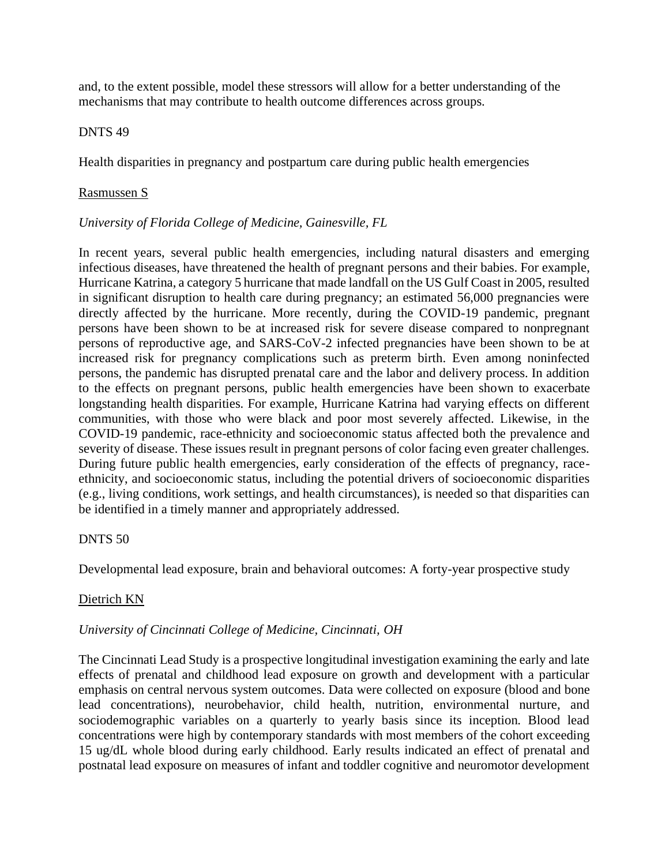and, to the extent possible, model these stressors will allow for a better understanding of the mechanisms that may contribute to health outcome differences across groups.

#### DNTS 49

Health disparities in pregnancy and postpartum care during public health emergencies

#### Rasmussen S

#### *University of Florida College of Medicine, Gainesville, FL*

In recent years, several public health emergencies, including natural disasters and emerging infectious diseases, have threatened the health of pregnant persons and their babies. For example, Hurricane Katrina, a category 5 hurricane that made landfall on the US Gulf Coast in 2005, resulted in significant disruption to health care during pregnancy; an estimated 56,000 pregnancies were directly affected by the hurricane. More recently, during the COVID-19 pandemic, pregnant persons have been shown to be at increased risk for severe disease compared to nonpregnant persons of reproductive age, and SARS-CoV-2 infected pregnancies have been shown to be at increased risk for pregnancy complications such as preterm birth. Even among noninfected persons, the pandemic has disrupted prenatal care and the labor and delivery process. In addition to the effects on pregnant persons, public health emergencies have been shown to exacerbate longstanding health disparities. For example, Hurricane Katrina had varying effects on different communities, with those who were black and poor most severely affected. Likewise, in the COVID-19 pandemic, race-ethnicity and socioeconomic status affected both the prevalence and severity of disease. These issues result in pregnant persons of color facing even greater challenges. During future public health emergencies, early consideration of the effects of pregnancy, raceethnicity, and socioeconomic status, including the potential drivers of socioeconomic disparities (e.g., living conditions, work settings, and health circumstances), is needed so that disparities can be identified in a timely manner and appropriately addressed.

#### DNTS 50

Developmental lead exposure, brain and behavioral outcomes: A forty-year prospective study

### Dietrich KN

### *University of Cincinnati College of Medicine, Cincinnati, OH*

The Cincinnati Lead Study is a prospective longitudinal investigation examining the early and late effects of prenatal and childhood lead exposure on growth and development with a particular emphasis on central nervous system outcomes. Data were collected on exposure (blood and bone lead concentrations), neurobehavior, child health, nutrition, environmental nurture, and sociodemographic variables on a quarterly to yearly basis since its inception. Blood lead concentrations were high by contemporary standards with most members of the cohort exceeding 15 ug/dL whole blood during early childhood. Early results indicated an effect of prenatal and postnatal lead exposure on measures of infant and toddler cognitive and neuromotor development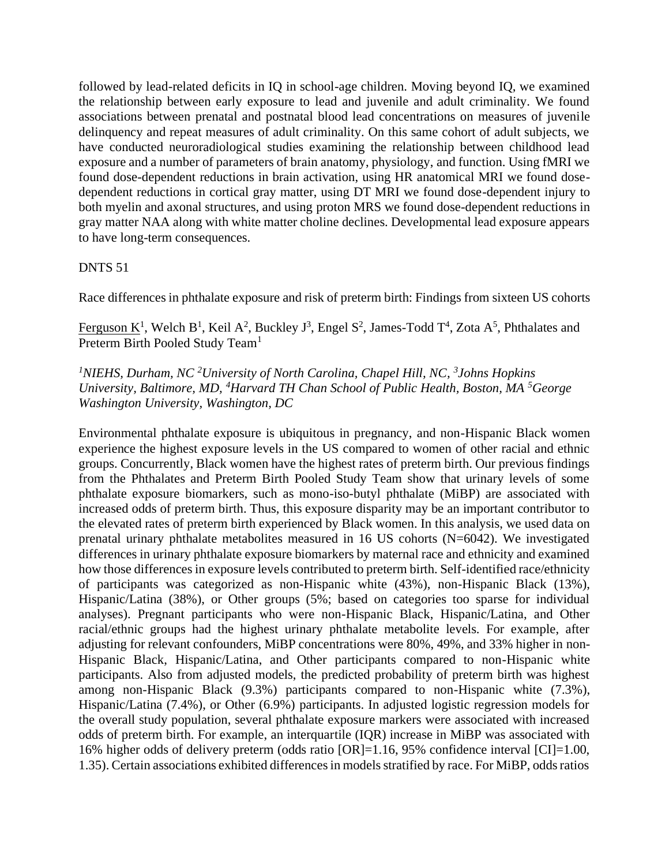followed by lead-related deficits in IQ in school-age children. Moving beyond IQ, we examined the relationship between early exposure to lead and juvenile and adult criminality. We found associations between prenatal and postnatal blood lead concentrations on measures of juvenile delinquency and repeat measures of adult criminality. On this same cohort of adult subjects, we have conducted neuroradiological studies examining the relationship between childhood lead exposure and a number of parameters of brain anatomy, physiology, and function. Using fMRI we found dose-dependent reductions in brain activation, using HR anatomical MRI we found dosedependent reductions in cortical gray matter, using DT MRI we found dose-dependent injury to both myelin and axonal structures, and using proton MRS we found dose-dependent reductions in gray matter NAA along with white matter choline declines. Developmental lead exposure appears to have long-term consequences.

### DNTS 51

Race differences in phthalate exposure and risk of preterm birth: Findings from sixteen US cohorts

Ferguson K<sup>1</sup>, Welch B<sup>1</sup>, Keil A<sup>2</sup>, Buckley J<sup>3</sup>, Engel S<sup>2</sup>, James-Todd T<sup>4</sup>, Zota A<sup>5</sup>, Phthalates and Preterm Birth Pooled Study Team<sup>1</sup>

## *<sup>1</sup>NIEHS, Durham, NC <sup>2</sup>University of North Carolina, Chapel Hill, NC, 3 Johns Hopkins University, Baltimore, MD, <sup>4</sup>Harvard TH Chan School of Public Health, Boston, MA <sup>5</sup>George Washington University, Washington, DC*

Environmental phthalate exposure is ubiquitous in pregnancy, and non-Hispanic Black women experience the highest exposure levels in the US compared to women of other racial and ethnic groups. Concurrently, Black women have the highest rates of preterm birth. Our previous findings from the Phthalates and Preterm Birth Pooled Study Team show that urinary levels of some phthalate exposure biomarkers, such as mono-iso-butyl phthalate (MiBP) are associated with increased odds of preterm birth. Thus, this exposure disparity may be an important contributor to the elevated rates of preterm birth experienced by Black women. In this analysis, we used data on prenatal urinary phthalate metabolites measured in 16 US cohorts (N=6042). We investigated differences in urinary phthalate exposure biomarkers by maternal race and ethnicity and examined how those differences in exposure levels contributed to preterm birth. Self-identified race/ethnicity of participants was categorized as non-Hispanic white (43%), non-Hispanic Black (13%), Hispanic/Latina (38%), or Other groups (5%; based on categories too sparse for individual analyses). Pregnant participants who were non-Hispanic Black, Hispanic/Latina, and Other racial/ethnic groups had the highest urinary phthalate metabolite levels. For example, after adjusting for relevant confounders, MiBP concentrations were 80%, 49%, and 33% higher in non-Hispanic Black, Hispanic/Latina, and Other participants compared to non-Hispanic white participants. Also from adjusted models, the predicted probability of preterm birth was highest among non-Hispanic Black (9.3%) participants compared to non-Hispanic white (7.3%), Hispanic/Latina (7.4%), or Other (6.9%) participants. In adjusted logistic regression models for the overall study population, several phthalate exposure markers were associated with increased odds of preterm birth. For example, an interquartile (IQR) increase in MiBP was associated with 16% higher odds of delivery preterm (odds ratio [OR]=1.16, 95% confidence interval [CI]=1.00, 1.35). Certain associations exhibited differences in models stratified by race. For MiBP, odds ratios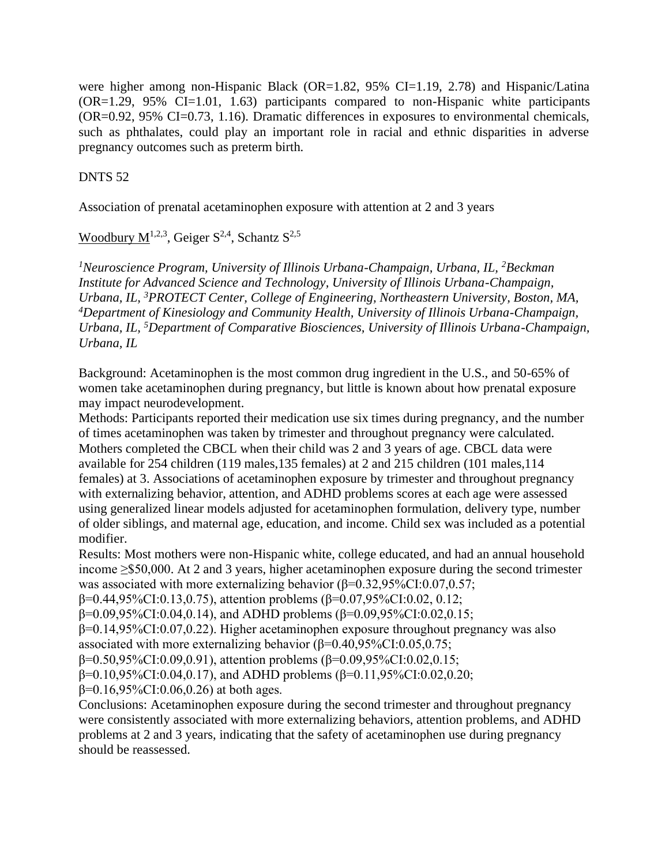were higher among non-Hispanic Black (OR=1.82, 95% CI=1.19, 2.78) and Hispanic/Latina  $(OR=1.29, 95\% \text{ CI}=1.01, 1.63)$  participants compared to non-Hispanic white participants (OR=0.92, 95% CI=0.73, 1.16). Dramatic differences in exposures to environmental chemicals, such as phthalates, could play an important role in racial and ethnic disparities in adverse pregnancy outcomes such as preterm birth.

# DNTS 52

Association of prenatal acetaminophen exposure with attention at 2 and 3 years

# Woodbury  $M^{1,2,3}$ , Geiger  $S^{2,4}$ , Schantz  $S^{2,5}$

<sup>1</sup>*Neuroscience Program, University of Illinois Urbana-Champaign, Urbana, IL, <sup>2</sup><i>Beckman Institute for Advanced Science and Technology, University of Illinois Urbana-Champaign, Urbana, IL, <sup>3</sup>PROTECT Center, College of Engineering, Northeastern University, Boston, MA, <sup>4</sup>Department of Kinesiology and Community Health, University of Illinois Urbana-Champaign, Urbana, IL, <sup>5</sup>Department of Comparative Biosciences, University of Illinois Urbana-Champaign, Urbana, IL*

Background: Acetaminophen is the most common drug ingredient in the U.S., and 50-65% of women take acetaminophen during pregnancy, but little is known about how prenatal exposure may impact neurodevelopment.

Methods: Participants reported their medication use six times during pregnancy, and the number of times acetaminophen was taken by trimester and throughout pregnancy were calculated. Mothers completed the CBCL when their child was 2 and 3 years of age. CBCL data were available for 254 children (119 males,135 females) at 2 and 215 children (101 males,114 females) at 3. Associations of acetaminophen exposure by trimester and throughout pregnancy with externalizing behavior, attention, and ADHD problems scores at each age were assessed using generalized linear models adjusted for acetaminophen formulation, delivery type, number of older siblings, and maternal age, education, and income. Child sex was included as a potential modifier.

Results: Most mothers were non-Hispanic white, college educated, and had an annual household income ≥\$50,000. At 2 and 3 years, higher acetaminophen exposure during the second trimester was associated with more externalizing behavior (β=0.32,95%CI:0.07,0.57;

β=0.44,95%CI:0.13,0.75), attention problems (β=0.07,95%CI:0.02, 0.12;

β=0.09,95%CI:0.04,0.14), and ADHD problems (β=0.09,95%CI:0.02,0.15;

β=0.14,95%CI:0.07,0.22). Higher acetaminophen exposure throughout pregnancy was also associated with more externalizing behavior  $(\beta=0.40, 95\% \text{CI} : 0.05, 0.75;$ 

β=0.50,95%CI:0.09,0.91), attention problems (β=0.09,95%CI:0.02,0.15;

β=0.10,95%CI:0.04,0.17), and ADHD problems (β=0.11,95%CI:0.02,0.20;

 $β=0.16,95\%CI:0.06,0.26)$  at both ages.

Conclusions: Acetaminophen exposure during the second trimester and throughout pregnancy were consistently associated with more externalizing behaviors, attention problems, and ADHD problems at 2 and 3 years, indicating that the safety of acetaminophen use during pregnancy should be reassessed.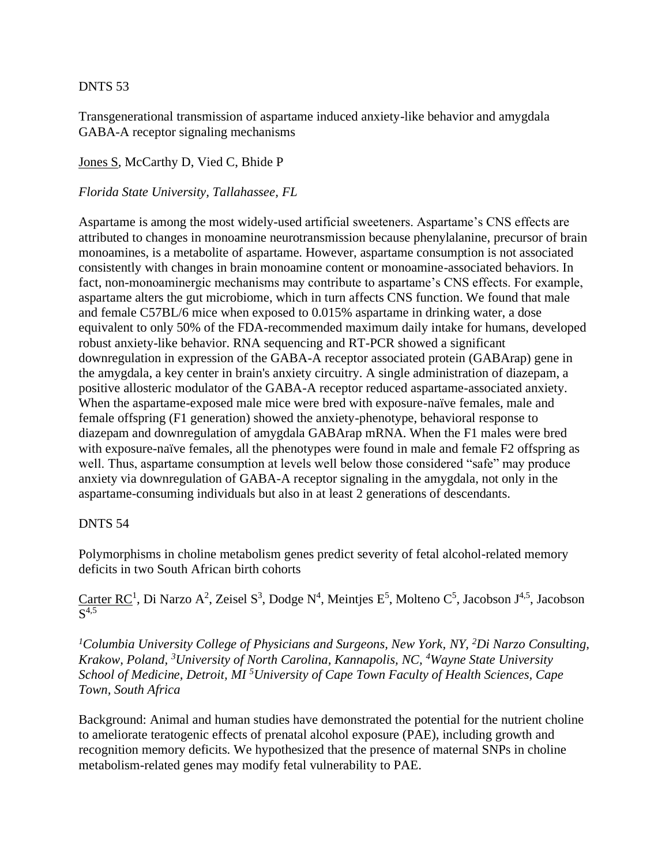## DNTS 53

Transgenerational transmission of aspartame induced anxiety-like behavior and amygdala GABA-A receptor signaling mechanisms

Jones S, McCarthy D, Vied C, Bhide P

### *Florida State University, Tallahassee, FL*

Aspartame is among the most widely-used artificial sweeteners. Aspartame's CNS effects are attributed to changes in monoamine neurotransmission because phenylalanine, precursor of brain monoamines, is a metabolite of aspartame. However, aspartame consumption is not associated consistently with changes in brain monoamine content or monoamine-associated behaviors. In fact, non-monoaminergic mechanisms may contribute to aspartame's CNS effects. For example, aspartame alters the gut microbiome, which in turn affects CNS function. We found that male and female C57BL/6 mice when exposed to 0.015% aspartame in drinking water, a dose equivalent to only 50% of the FDA-recommended maximum daily intake for humans, developed robust anxiety-like behavior. RNA sequencing and RT-PCR showed a significant downregulation in expression of the GABA-A receptor associated protein (GABArap) gene in the amygdala, a key center in brain's anxiety circuitry. A single administration of diazepam, a positive allosteric modulator of the GABA-A receptor reduced aspartame-associated anxiety. When the aspartame-exposed male mice were bred with exposure-naïve females, male and female offspring (F1 generation) showed the anxiety-phenotype, behavioral response to diazepam and downregulation of amygdala GABArap mRNA. When the F1 males were bred with exposure-naïve females, all the phenotypes were found in male and female F2 offspring as well. Thus, aspartame consumption at levels well below those considered "safe" may produce anxiety via downregulation of GABA-A receptor signaling in the amygdala, not only in the aspartame-consuming individuals but also in at least 2 generations of descendants.

### DNTS 54

Polymorphisms in choline metabolism genes predict severity of fetal alcohol-related memory deficits in two South African birth cohorts

Carter RC<sup>1</sup>, Di Narzo A<sup>2</sup>, Zeisel S<sup>3</sup>, Dodge N<sup>4</sup>, Meintjes E<sup>5</sup>, Molteno C<sup>5</sup>, Jacobson J<sup>4,5</sup>, Jacobson S 4,5

*<sup>1</sup>Columbia University College of Physicians and Surgeons, New York, NY, <sup>2</sup>Di Narzo Consulting, Krakow, Poland, <sup>3</sup>University of North Carolina, Kannapolis, NC, <sup>4</sup>Wayne State University School of Medicine, Detroit, MI <sup>5</sup>University of Cape Town Faculty of Health Sciences, Cape Town, South Africa*

Background: Animal and human studies have demonstrated the potential for the nutrient choline to ameliorate teratogenic effects of prenatal alcohol exposure (PAE), including growth and recognition memory deficits. We hypothesized that the presence of maternal SNPs in choline metabolism-related genes may modify fetal vulnerability to PAE.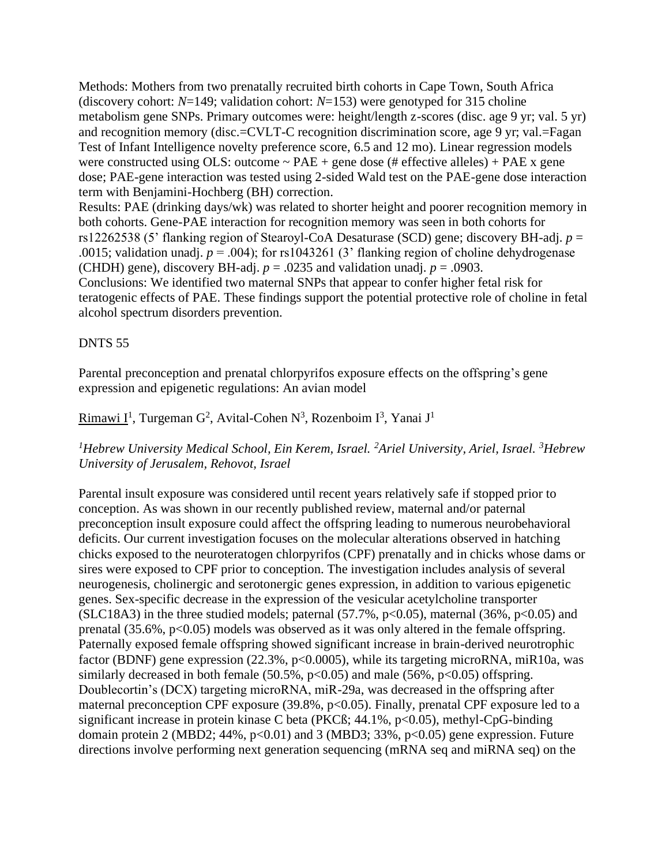Methods: Mothers from two prenatally recruited birth cohorts in Cape Town, South Africa (discovery cohort: *N*=149; validation cohort: *N*=153) were genotyped for 315 choline metabolism gene SNPs. Primary outcomes were: height/length z-scores (disc. age 9 yr; val. 5 yr) and recognition memory (disc.=CVLT-C recognition discrimination score, age 9 yr; val.=Fagan Test of Infant Intelligence novelty preference score, 6.5 and 12 mo). Linear regression models were constructed using OLS: outcome  $\sim$  PAE + gene dose (# effective alleles) + PAE x gene dose; PAE-gene interaction was tested using 2-sided Wald test on the PAE-gene dose interaction term with Benjamini-Hochberg (BH) correction. Results: PAE (drinking days/wk) was related to shorter height and poorer recognition memory in both cohorts. Gene-PAE interaction for recognition memory was seen in both cohorts for rs12262538 (5' flanking region of Stearoyl-CoA Desaturase (SCD) gene; discovery BH-adj. *p* = .0015; validation unadj.  $p = .004$ ); for rs1043261 (3<sup>o</sup> flanking region of choline dehydrogenase (CHDH) gene), discovery BH-adj.  $p = 0.0235$  and validation unadj.  $p = 0.0903$ . Conclusions: We identified two maternal SNPs that appear to confer higher fetal risk for

teratogenic effects of PAE. These findings support the potential protective role of choline in fetal alcohol spectrum disorders prevention.

### DNTS 55

Parental preconception and prenatal chlorpyrifos exposure effects on the offspring's gene expression and epigenetic regulations: An avian model

## Rimawi I<sup>1</sup>, Turgeman G<sup>2</sup>, Avital-Cohen N<sup>3</sup>, Rozenboim I<sup>3</sup>, Yanai J<sup>1</sup>

### *<sup>1</sup>Hebrew University Medical School, Ein Kerem, Israel. <sup>2</sup>Ariel University, Ariel, Israel. <sup>3</sup>Hebrew University of Jerusalem, Rehovot, Israel*

Parental insult exposure was considered until recent years relatively safe if stopped prior to conception. As was shown in our recently published review, maternal and/or paternal preconception insult exposure could affect the offspring leading to numerous neurobehavioral deficits. Our current investigation focuses on the molecular alterations observed in hatching chicks exposed to the neuroteratogen chlorpyrifos (CPF) prenatally and in chicks whose dams or sires were exposed to CPF prior to conception. The investigation includes analysis of several neurogenesis, cholinergic and serotonergic genes expression, in addition to various epigenetic genes. Sex-specific decrease in the expression of the vesicular acetylcholine transporter (SLC18A3) in the three studied models; paternal  $(57.7\%, p<0.05)$ , maternal  $(36\%, p<0.05)$  and prenatal  $(35.6\%, p<0.05)$  models was observed as it was only altered in the female offspring. Paternally exposed female offspring showed significant increase in brain-derived neurotrophic factor (BDNF) gene expression (22.3%, p<0.0005), while its targeting microRNA, miR10a, was similarly decreased in both female  $(50.5\%, p<0.05)$  and male  $(56\%, p<0.05)$  offspring. Doublecortin's (DCX) targeting microRNA, miR-29a, was decreased in the offspring after maternal preconception CPF exposure (39.8%, p<0.05). Finally, prenatal CPF exposure led to a significant increase in protein kinase C beta (PKC $\beta$ ; 44.1%, p<0.05), methyl-CpG-binding domain protein 2 (MBD2; 44%,  $p<0.01$ ) and 3 (MBD3; 33%,  $p<0.05$ ) gene expression. Future directions involve performing next generation sequencing (mRNA seq and miRNA seq) on the